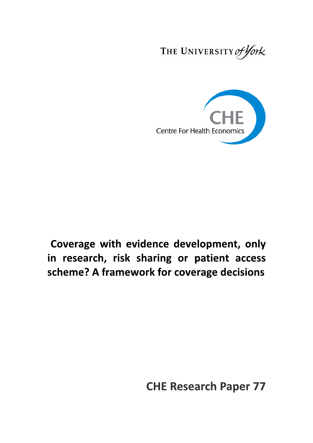THE UNIVERSITY of York



Coverage with evidence development, only in research, risk sharing or patient access scheme? A framework for coverage decisions

**CHE Research Paper 77**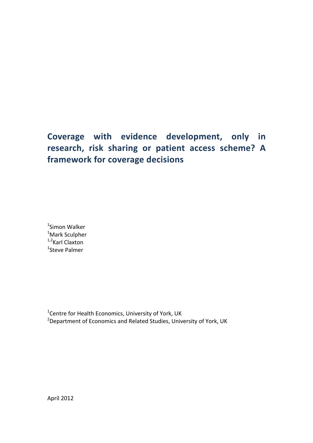# **Coverage with evidence development, only in research, risk sharing or patient access scheme? A framework for coverage decisions**

<sup>1</sup>Simon Walker <sup>1</sup>Mark Sculpher  $1,2$ Karl Claxton <sup>1</sup>Steve Palmer

<sup>1</sup>Centre for Health Economics, University of York, UK <sup>2</sup>Department of Economics and Related Studies, University of York, UK

April 2012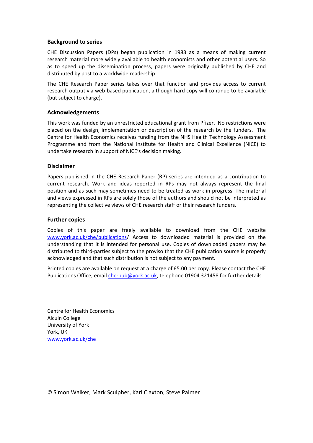#### **Background to series**

CHE Discussion Papers (DPs) began publication in 1983 as a means of making current research material more widely available to health economists and other potential users. So as to speed up the dissemination process, papers were originally published by CHE and distributed by post to a worldwide readership.

The CHE Research Paper series takes over that function and provides access to current research output via web-based publication, although hard copy will continue to be available (but subject to charge).

#### **Acknowledgements**

This work was funded by an unrestricted educational grant from Pfizer. No restrictions were placed on the design, implementation or description of the research by the funders. The Centre for Health Economics receives funding from the NHS Health Technology Assessment Programme and from the National Institute for Health and Clinical Excellence (NICE) to undertake research in support of NICE's decision making.

#### **Disclaimer**

Papers published in the CHE Research Paper (RP) series are intended as a contribution to current research. Work and ideas reported in RPs may not always represent the final position and as such may sometimes need to be treated as work in progress. The material and views expressed in RPs are solely those of the authors and should not be interpreted as representing the collective views of CHE research staff or their research funders.

#### **Further copies**

Copies of this paper are freely available to download from the CHE website www.york.ac.uk/che/publications/ Access to downloaded material is provided on the understanding that it is intended for personal use. Copies of downloaded papers may be distributed to third-parties subject to the proviso that the CHE publication source is properly acknowledged and that such distribution is not subject to any payment.

Printed copies are available on request at a charge of £5.00 per copy. Please contact the CHE Publications Office, email che-pub@york.ac.uk, telephone 01904 321458 for further details.

Centre for Health Economics Alcuin College University of York York, UK www.york.ac.uk/che

© Simon Walker, Mark Sculpher, Karl Claxton, Steve Palmer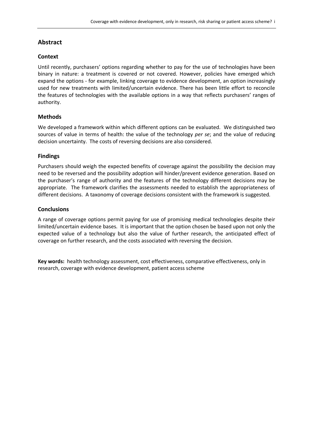## **Abstract**

#### **Context**

Until recently, purchasers' options regarding whether to pay for the use of technologies have been binary in nature: a treatment is covered or not covered. However, policies have emerged which expand the options - for example, linking coverage to evidence development, an option increasingly used for new treatments with limited/uncertain evidence. There has been little effort to reconcile the features of technologies with the available options in a way that reflects purchasers' ranges of authority.

#### **Methods**

We developed a framework within which different options can be evaluated. We distinguished two sources of value in terms of health: the value of the technology *per se*; and the value of reducing decision uncertainty. The costs of reversing decisions are also considered.

#### **Findings**

Purchasers should weigh the expected benefits of coverage against the possibility the decision may need to be reversed and the possibility adoption will hinder/prevent evidence generation. Based on the purchaser's range of authority and the features of the technology different decisions may be appropriate. The framework clarifies the assessments needed to establish the appropriateness of different decisions. A taxonomy of coverage decisions consistent with the framework is suggested.

#### **Conclusions**

A range of coverage options permit paying for use of promising medical technologies despite their limited/uncertain evidence bases. It is important that the option chosen be based upon not only the expected value of a technology but also the value of further research, the anticipated effect of coverage on further research, and the costs associated with reversing the decision.

**Key words:** health technology assessment, cost effectiveness, comparative effectiveness, only in research, coverage with evidence development, patient access scheme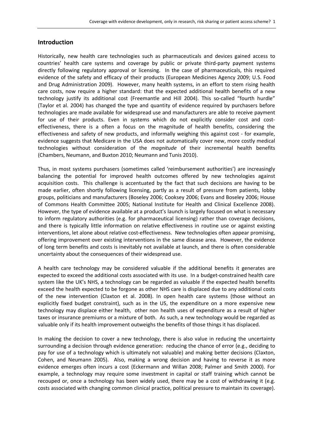#### **Introduction**

Historically, new health care technologies such as pharmaceuticals and devices gained access to countries' health care systems and coverage by public or private third-party payment systems directly following regulatory approval or licensing. In the case of pharmaceuticals, this required evidence of the safety and efficacy of their products (European Medicines Agency 2009; U.S. Food and Drug Administration 2009). However, many health systems, in an effort to stem rising health care costs, now require a higher standard: that the expected additional health benefits of a new technology justify its additional cost (Freemantle and Hill 2004). This so-called "fourth hurdle" (Taylor et al. 2004) has changed the type and quantity of evidence required by purchasers before technologies are made available for widespread use and manufacturers are able to receive payment for use of their products. Even in systems which do not explicitly consider cost and costeffectiveness, there is a often a focus on the magnitude of health benefits, considering the effectiveness and safety of new products, and informally weighing this against cost - for example, evidence suggests that Medicare in the USA does not automatically cover new, more costly medical technologies without consideration of the *magnitude* of their incremental health benefits (Chambers, Neumann, and Buxton 2010; Neumann and Tunis 2010).

Thus, in most systems purchasers (sometimes called 'reimbursement authorities') are increasingly balancing the potential for improved health outcomes offered by new technologies against acquisition costs. This challenge is accentuated by the fact that such decisions are having to be made earlier, often shortly following licensing, partly as a result of pressure from patients, lobby groups, politicians and manufacturers (Boseley 2006; Cooksey 2006; Evans and Boseley 2006; House of Commons Health Committee 2005; National Institute for Health and Clinical Excellence 2008). However, the type of evidence available at a product's launch is largely focused on what is necessary to inform regulatory authorities (e.g. for pharmaceutical licensing) rather than coverage decisions, and there is typically little information on relative effectiveness in routine use or against existing interventions, let alone about relative cost-effectiveness. New technologies often appear promising, offering improvement over existing interventions in the same disease area. However, the evidence of long term benefits and costs is inevitably not available at launch, and there is often considerable uncertainty about the consequences of their widespread use.

A health care technology may be considered valuable if the additional benefits it generates are expected to exceed the additional costs associated with its use. In a budget-constrained health care system like the UK's NHS, a technology can be regarded as valuable if the expected health benefits exceed the health expected to be forgone as other NHS care is displaced due to any additional costs of the new intervention (Claxton et al. 2008). In open health care systems (those without an explicitly fixed budget constraint), such as in the US, the expenditure on a more expensive new technology may displace either health, other non health uses of expenditure as a result of higher taxes or insurance premiums or a mixture of both. As such, a new technology would be regarded as valuable only if its health improvement outweighs the benefits of those things it has displaced.

In making the decision to cover a new technology, there is also value in reducing the uncertainty surrounding a decision through evidence generation: reducing the chance of error (e.g., deciding to pay for use of a technology which is ultimately not valuable) and making better decisions (Claxton, Cohen, and Neumann 2005). Also, making a wrong decision and having to reverse it as more evidence emerges often incurs a cost (Eckermann and Willan 2008; Palmer and Smith 2000). For example, a technology may require some investment in capital or staff training which cannot be recouped or, once a technology has been widely used, there may be a cost of withdrawing it (e.g. costs associated with changing common clinical practice, political pressure to maintain its coverage).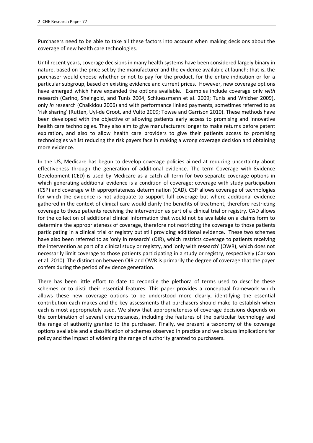Purchasers need to be able to take all these factors into account when making decisions about the coverage of new health care technologies.

Until recent years, coverage decisions in many health systems have been considered largely binary in nature, based on the price set by the manufacturer and the evidence available at launch: that is, the purchaser would choose whether or not to pay for the product, for the entire indication or for a particular subgroup, based on existing evidence and current prices. However, new coverage options have emerged which have expanded the options available. Examples include coverage only *with* research (Carino, Sheingold, and Tunis 2004; Schluessmann et al. 2009; Tunis and Whicher 2009), only *in* research (Chalkidou 2006) and with performance linked payments, sometimes referred to as 'risk sharing' (Rutten, Uyl-de Groot, and Vulto 2009; Towse and Garrison 2010). These methods have been developed with the objective of allowing patients early access to promising and innovative health care technologies. They also aim to give manufacturers longer to make returns before patent expiration, and also to allow health care providers to give their patients access to promising technologies whilst reducing the risk payers face in making a wrong coverage decision and obtaining more evidence.

In the US, Medicare has begun to develop coverage policies aimed at reducing uncertainty about effectiveness through the generation of additional evidence. The term Coverage with Evidence Development (CED) is used by Medicare as a catch all term for two separate coverage options in which generating additional evidence is a condition of coverage: coverage with study participation (CSP) and coverage with appropriateness determination (CAD). CSP allows coverage of technologies for which the evidence is not adequate to support full coverage but where additional evidence gathered in the context of clinical care would clarify the benefits of treatment, therefore restricting coverage to those patients receiving the intervention as part of a clinical trial or registry. CAD allows for the collection of additional clinical information that would not be available on a claims form to determine the appropriateness of coverage, therefore not restricting the coverage to those patients participating in a clinical trial or registry but still providing additional evidence. These two schemes have also been referred to as 'only in research' (OIR), which restricts coverage to patients receiving the intervention as part of a clinical study or registry, and 'only with research' (OWR), which does not necessarily limit coverage to those patients participating in a study or registry, respectively (Carlson et al. 2010). The distinction between OIR and OWR is primarily the degree of coverage that the payer confers during the period of evidence generation.

There has been little effort to date to reconcile the plethora of terms used to describe these schemes or to distil their essential features. This paper provides a conceptual framework which allows these new coverage options to be understood more clearly, identifying the essential contribution each makes and the key assessments that purchasers should make to establish when each is most appropriately used. We show that appropriateness of coverage decisions depends on the combination of several circumstances, including the features of the particular technology and the range of authority granted to the purchaser. Finally, we present a taxonomy of the coverage options available and a classification of schemes observed in practice and we discuss implications for policy and the impact of widening the range of authority granted to purchasers.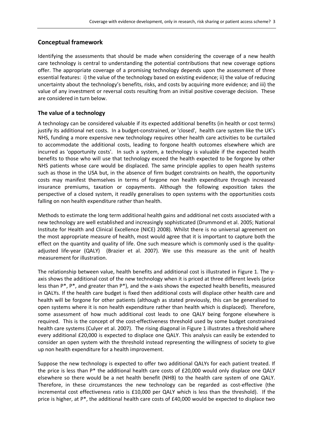## **Conceptual framework**

Identifying the assessments that should be made when considering the coverage of a new health care technology is central to understanding the potential contributions that new coverage options offer. The appropriate coverage of a promising technology depends upon the assessment of three essential features: i) the value of the technology based on existing evidence; ii) the value of reducing uncertainty about the technology's benefits, risks, and costs by acquiring more evidence; and iii) the value of any investment or reversal costs resulting from an initial positive coverage decision. These are considered in turn below.

## **The value of a technology**

A technology can be considered valuable if its expected additional benefits (in health or cost terms) justify its additional net costs. In a budget-constrained, or 'closed', health care system like the UK's NHS, funding a more expensive new technology requires other health care activities to be curtailed to accommodate the additional costs, leading to forgone health outcomes elsewhere which are incurred as 'opportunity costs'. In such a system, a technology is valuable if the expected health benefits to those who will use that technology exceed the health expected to be forgone by other NHS patients whose care would be displaced. The same principle applies to open health systems such as those in the USA but, in the absence of firm budget constraints on health, the opportunity costs may manifest themselves in terms of forgone non health expenditure through increased insurance premiums, taxation or copayments. Although the following exposition takes the perspective of a closed system, it readily generalises to open systems with the opportunities costs falling on non health expenditure rather than health.

Methods to estimate the long term additional health gains and additional net costs associated with a new technology are well established and increasingly sophisticated (Drummond et al. 2005; National Institute for Health and Clinical Excellence (NICE) 2008). Whilst there is no universal agreement on the most appropriate measure of health, most would agree that it is important to capture both the effect on the quantity and quality of life. One such measure which is commonly used is the qualityadjusted life-year (QALY) (Brazier et al. 2007). We use this measure as the unit of health measurement for illustration.

The relationship between value, health benefits and additional cost is illustrated in Figure 1. The yaxis shows the additional cost of the new technology when it is priced at three different levels (price less than  $P^*$ ,  $P^*$ , and greater than  $P^*$ ), and the x-axis shows the expected health benefits, measured in QALYs. If the health care budget is fixed then additional costs will displace other health care and health will be forgone for other patients (although as stated previously, this can be generalised to open systems where it is non health expenditure rather than health which is displaced). Therefore, some assessment of how much additional cost leads to one QALY being forgone elsewhere is required. This is the concept of the cost-effectiveness threshold used by some budget constrained health care systems (Culyer et al. 2007). The rising diagonal in Figure 1 illustrates a threshold where every additional £20,000 is expected to displace one QALY. This analysis can easily be extended to consider an open system with the threshold instead representing the willingness of society to give up non health expenditure for a health improvement.

Suppose the new technology is expected to offer two additional QALYs for each patient treated. If the price is less than P\* the additional health care costs of £20,000 would only displace one QALY elsewhere so there would be a net health benefit (NHB) to the health care system of one QALY. Therefore, in these circumstances the new technology can be regarded as cost-effective (the incremental cost effectiveness ratio is £10,000 per QALY which is less than the threshold). If the price is higher, at P\*, the additional health care costs of £40,000 would be expected to displace two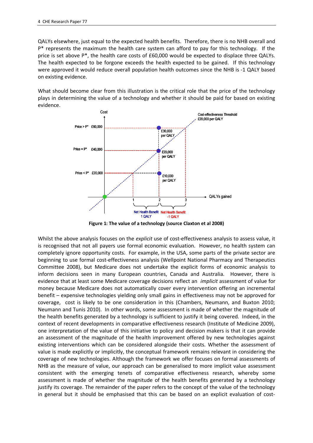QALYs elsewhere, just equal to the expected health benefits. Therefore, there is no NHB overall and P\* represents the maximum the health care system can afford to pay for this technology. If the price is set above P\*, the health care costs of £60,000 would be expected to displace three QALYs. The health expected to be forgone exceeds the health expected to be gained. If this technology were approved it would reduce overall population health outcomes since the NHB is -1 QALY based on existing evidence.

What should become clear from this illustration is the critical role that the price of the technology plays in determining the value of a technology and whether it should be paid for based on existing evidence.



**Figure 1: The value of a technology (source Claxton et al 2008)**

Whilst the above analysis focuses on the *explicit* use of cost-effectiveness analysis to assess value, it is recognised that not all payers use formal economic evaluation. However, no health system can completely ignore opportunity costs. For example, in the USA, some parts of the private sector are beginning to use formal cost-effectiveness analysis (Wellpoint National Pharmacy and Therapeutics Committee 2008), but Medicare does not undertake the explicit forms of economic analysis to inform decisions seen in many European countries, Canada and Australia. However, there is evidence that at least some Medicare coverage decisions reflect an *implicit* assessment of value for money because Medicare does not automatically cover every intervention offering an incremental benefit – expensive technologies yielding only small gains in effectiveness may not be approved for coverage, cost is likely to be one consideration in this (Chambers, Neumann, and Buxton 2010; Neumann and Tunis 2010). In other words, some assessment is made of whether the magnitude of the health benefits generated by a technology is sufficient to justify it being covered. Indeed, in the context of recent developments in comparative effectiveness research (Institute of Medicine 2009), one interpretation of the value of this initiative to policy and decision makers is that it can provide an assessment of the magnitude of the health improvement offered by new technologies against existing interventions which can be considered alongside their costs. Whether the assessment of value is made explicitly or implicitly, the conceptual framework remains relevant in considering the coverage of new technologies. Although the framework we offer focuses on formal assessments of NHB as the measure of value, our approach can be generalised to more implicit value assessment consistent with the emerging tenets of comparative effectiveness research, whereby some assessment is made of whether the magnitude of the health benefits generated by a technology justify its coverage. The remainder of the paper refers to the concept of the value of the technology in general but it should be emphasised that this can be based on an explicit evaluation of cost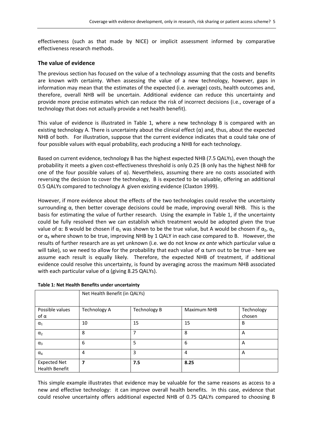effectiveness (such as that made by NICE) or implicit assessment informed by comparative effectiveness research methods.

#### **The value of evidence**

The previous section has focused on the value of a technology assuming that the costs and benefits are known with certainty. When assessing the value of a new technology, however, gaps in information may mean that the estimates of the expected (i.e. average) costs, health outcomes and, therefore, overall NHB will be uncertain. Additional evidence can reduce this uncertainty and provide more precise estimates which can reduce the risk of incorrect decisions (i.e., coverage of a technology that does not actually provide a net health benefit).

This value of evidence is illustrated in Table 1, where a new technology B is compared with an existing technology A. There is uncertainty about the clinical effect  $(\alpha)$  and, thus, about the expected NHB of both. For illustration, suppose that the current evidence indicates that  $\alpha$  could take one of four possible values with equal probability, each producing a NHB for each technology.

Based on current evidence, technology B has the highest expected NHB (7.5 QALYs), even though the probability it meets a given cost-effectiveness threshold is only 0.25 (B only has the highest NHB for one of the four possible values of α). Nevertheless, assuming there are no costs associated with reversing the decision to cover the technology, B is expected to be valuable, offering an additional 0.5 QALYs compared to technology A given existing evidence (Claxton 1999).

However, if more evidence about the effects of the two technologies could resolve the uncertainty surrounding  $\alpha$ , then better coverage decisions could be made, improving overall NHB. This is the basis for estimating the value of further research. Using the example in Table 1, if the uncertainty could be fully resolved then we can establish which treatment would be adopted given the true value of α: B would be chosen if  $\alpha_1$  was shown to be the true value, but A would be chosen if  $\alpha_2$ ,  $\alpha_3$ or  $\alpha_4$  where shown to be true, improving NHB by 1 QALY in each case compared to B. However, the results of further research are as yet unknown (i.e. we do not know *ex ante* which particular value α will take), so we need to allow for the probability that each value of  $α$  turn out to be true - here we assume each result is equally likely. Therefore, the expected NHB of treatment, if additional evidence could resolve this uncertainty, is found by averaging across the maximum NHB associated with each particular value of  $\alpha$  (giving 8.25 QALYs).

|                                              | Net Health Benefit (in QALYs) |                     |                    |                      |  |
|----------------------------------------------|-------------------------------|---------------------|--------------------|----------------------|--|
| Possible values<br>$of \alpha$               | <b>Technology A</b>           | <b>Technology B</b> | <b>Maximum NHB</b> | Technology<br>chosen |  |
| $\alpha_1$                                   | 10                            | 15                  | 15                 | B                    |  |
| $\alpha_2$                                   | 8                             |                     | 8                  | A                    |  |
| $\alpha_3$                                   | 6                             | 5                   | 6                  | A                    |  |
| $\alpha_4$                                   | 4                             | 3                   | 4                  | A                    |  |
| <b>Expected Net</b><br><b>Health Benefit</b> | 7                             | 7.5                 | 8.25               |                      |  |

#### **Table 1: Net Health Benefits under uncertainty**

This simple example illustrates that evidence may be valuable for the same reasons as access to a new and effective technology: it can improve overall health benefits. In this case, evidence that could resolve uncertainty offers additional expected NHB of 0.75 QALYs compared to choosing B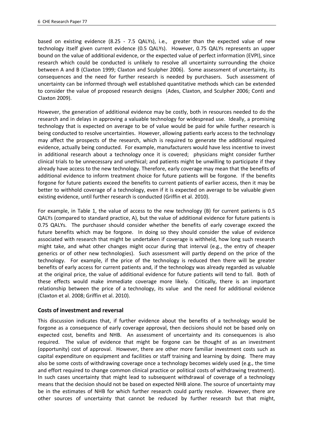based on existing evidence (8.25 - 7.5 QALYs), i.e., greater than the expected value of new technology itself given current evidence (0.5 QALYs). However, 0.75 QALYs represents an upper bound on the value of additional evidence, or the expected value of perfect information (EVPI), since research which could be conducted is unlikely to resolve all uncertainty surrounding the choice between A and B (Claxton 1999; Claxton and Sculpher 2006). Some assessment of uncertainty, its consequences and the need for further research is needed by purchasers. Such assessment of uncertainty can be informed through well established quantitative methods which can be extended to consider the value of proposed research designs (Ades, Claxton, and Sculpher 2006; Conti and Claxton 2009).

However, the generation of additional evidence may be costly, both in resources needed to do the research and in delays in approving a valuable technology for widespread use. Ideally, a promising technology that is expected on average to be of value would be paid for while further research is being conducted to resolve uncertainties. However, allowing patients early access to the technology may affect the prospects of the research, which is required to generate the additional required evidence, actually being conducted. For example, manufacturers would have less incentive to invest in additional research about a technology once it is covered; physicians might consider further clinical trials to be unnecessary and unethical; and patients might be unwilling to participate if they already have access to the new technology. Therefore, early coverage may mean that the benefits of additional evidence to inform treatment choice for future patients will be forgone. If the benefits forgone for future patients exceed the benefits to current patients of earlier access, then it may be better to withhold coverage of a technology, even if it is expected on average to be valuable given existing evidence, until further research is conducted (Griffin et al. 2010).

For example, in Table 1, the value of access to the new technology (B) for current patients is 0.5 QALYs (compared to standard practice, A), but the value of additional evidence for future patients is 0.75 QALYs. The purchaser should consider whether the benefits of early coverage exceed the future benefits which may be forgone. In doing so they should consider the value of evidence associated with research that might be undertaken if coverage is withheld, how long such research might take, and what other changes might occur during that interval (e.g., the entry of cheaper generics or of other new technologies). Such assessment will partly depend on the price of the technology. For example, if the price of the technology is reduced then there will be greater benefits of early access for current patients and, if the technology was already regarded as valuable at the original price, the value of additional evidence for future patients will tend to fall. Both of these effects would make immediate coverage more likely. Critically, there is an important relationship between the price of a technology, its value and the need for additional evidence (Claxton et al. 2008; Griffin et al. 2010).

## **Costs of investment and reversal**

This discussion indicates that, if further evidence about the benefits of a technology would be forgone as a consequence of early coverage approval, then decisions should not be based only on expected cost, benefits and NHB. An assessment of uncertainty and its consequences is also required. The value of evidence that might be forgone can be thought of as an investment (opportunity) cost of approval. However, there are other more familiar investment costs such as capital expenditure on equipment and facilities or staff training and learning by doing. There may also be some costs of withdrawing coverage once a technology becomes widely used (e.g., the time and effort required to change common clinical practice or political costs of withdrawing treatment). In such cases uncertainty that might lead to subsequent withdrawal of coverage of a technology means that the decision should not be based on expected NHB alone. The source of uncertainty may be in the estimates of NHB for which further research could partly resolve. However, there are other sources of uncertainty that cannot be reduced by further research but that might,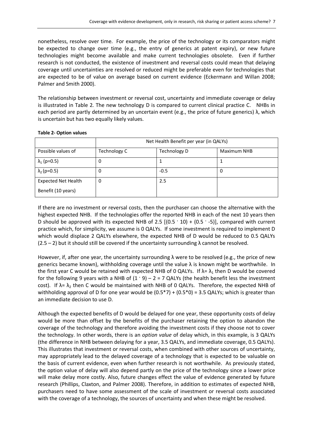nonetheless, resolve over time. For example, the price of the technology or its comparators might be expected to change over time (e.g., the entry of generics at patent expiry), or new future technologies might become available and make current technologies obsolete. Even if further research is not conducted, the existence of investment and reversal costs could mean that delaying coverage until uncertainties are resolved or reduced might be preferable even for technologies that are expected to be of value on average based on current evidence (Eckermann and Willan 2008; Palmer and Smith 2000).

The relationship between investment or reversal cost, uncertainty and immediate coverage or delay is illustrated in Table 2. The new technology D is compared to current clinical practice C. NHBs in each period are partly determined by an uncertain event (e.g., the price of future generics)  $λ$ , which is uncertain but has two equally likely values.

|                            | Net Health Benefit per year (in QALYs) |                     |                    |  |
|----------------------------|----------------------------------------|---------------------|--------------------|--|
| Possible values of         | Technology C                           | <b>Technology D</b> | <b>Maximum NHB</b> |  |
| $\lambda_1$ (p=0.5)        | 0                                      |                     |                    |  |
| $\lambda_2$ (p=0.5)        | 0                                      | $-0.5$              | 0                  |  |
| <b>Expected Net Health</b> | 0                                      | 2.5                 |                    |  |
| Benefit (10 years)         |                                        |                     |                    |  |

#### **Table 2- Option values**

If there are no investment or reversal costs, then the purchaser can choose the alternative with the highest expected NHB. If the technologies offer the reported NHB in each of the next 10 years then D should be approved with its expected NHB of 2.5  $[(0.5 \cdot 10) + (0.5 \cdot -5)]$ , compared with current practice which, for simplicity, we assume is 0 QALYs. If some investment is required to implement D which would displace 2 QALYs elsewhere, the expected NHB of D would be reduced to 0.5 QALYs  $(2.5 - 2)$  but it should still be covered if the uncertainty surrounding  $\lambda$  cannot be resolved.

However, if, after one year, the uncertainty surrounding  $\lambda$  were to be resolved (e.g., the price of new generics became known), withholding coverage until the value  $\lambda$  is known might be worthwhile. In the first year C would be retained with expected NHB of 0 QALYs. If  $\lambda = \lambda_1$  then D would be covered for the following 9 years with a NHB of  $(1 \cdot 9) - 2 = 7$  QALYs (the health benefit less the investment cost). If  $\lambda$ =  $\lambda$ <sub>2</sub> then C would be maintained with NHB of 0 QALYs. Therefore, the expected NHB of withholding approval of D for one year would be  $(0.5^*7) + (0.5^*0) = 3.5$  QALYs; which is greater than an immediate decision to use D.

Although the expected benefits of D would be delayed for one year, these opportunity costs of delay would be more than offset by the benefits of the purchaser retaining the option to abandon the coverage of the technology and therefore avoiding the investment costs if they choose not to cover the technology. In other words, there is an *option value* of delay which, in this example, is 3 QALYs (the difference in NHB between delaying for a year, 3.5 QALYs, and immediate coverage, 0.5 QALYs). This illustrates that investment or reversal costs, when combined with other sources of uncertainty, may appropriately lead to the delayed coverage of a technology that is expected to be valuable on the basis of current evidence, even when further research is not worthwhile. As previously stated, the option value of delay will also depend partly on the price of the technology since a lower price will make delay more costly. Also, future changes effect the value of evidence generated by future research (Phillips, Claxton, and Palmer 2008). Therefore, in addition to estimates of expected NHB, purchasers need to have some assessment of the scale of investment or reversal costs associated with the coverage of a technology, the sources of uncertainty and when these might be resolved.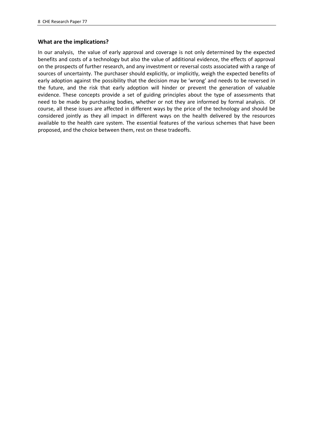#### **What are the implications?**

In our analysis, the value of early approval and coverage is not only determined by the expected benefits and costs of a technology but also the value of additional evidence, the effects of approval on the prospects of further research, and any investment or reversal costs associated with a range of sources of uncertainty. The purchaser should explicitly, or implicitly, weigh the expected benefits of early adoption against the possibility that the decision may be 'wrong' and needs to be reversed in the future, and the risk that early adoption will hinder or prevent the generation of valuable evidence. These concepts provide a set of guiding principles about the type of assessments that need to be made by purchasing bodies, whether or not they are informed by formal analysis. Of course, all these issues are affected in different ways by the price of the technology and should be considered jointly as they all impact in different ways on the health delivered by the resources available to the health care system. The essential features of the various schemes that have been proposed, and the choice between them, rest on these tradeoffs.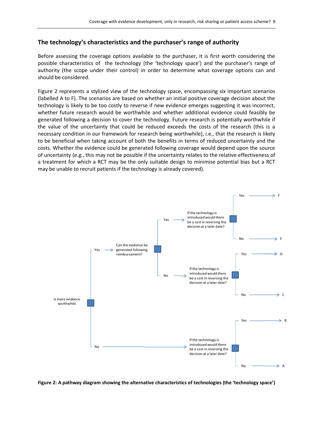#### **The technology's characteristics and the purchaser's range of authority**

Before assessing the coverage options available to the purchaser, it is first worth considering the possible characteristics of the technology (the 'technology space') and the purchaser's range of authority (the scope under their control) in order to determine what coverage options can and should be considered.

Figure 2 represents a stylized view of the technology space, encompassing six important scenarios (labelled A to F). The scenarios are based on whether an initial positive coverage decision about the technology is likely to be too costly to reverse if new evidence emerges suggesting it was incorrect, whether future research would be worthwhile and whether additional evidence could feasibly be generated following a decision to cover the technology. Future research is potentially worthwhile if the value of the uncertainty that could be reduced exceeds the costs of the research (this is a necessary condition in our framework for research being worthwhile), i.e., that the research is likely to be beneficial when taking account of both the benefits in terms of reduced uncertainty and the costs. Whether the evidence could be generated following coverage would depend upon the source of uncertainty (e.g., this may not be possible if the uncertainty relates to the relative effectiveness of a treatment for which a RCT may be the only suitable design to minimise potential bias but a RCT may be unable to recruit patients if the technology is already covered).



**Figure 2: A pathway diagram showing the alternative characteristics of technologies (the 'technology space')**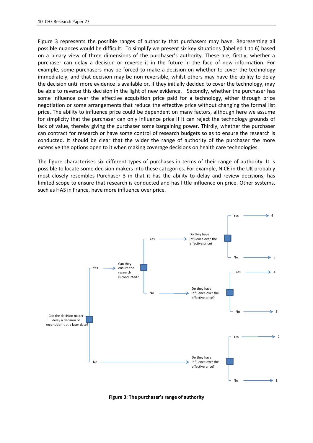Figure 3 represents the possible ranges of authority that purchasers may have. Representing all possible nuances would be difficult. To simplify we present six key situations (labelled 1 to 6) based on a binary view of three dimensions of the purchaser's authority. These are, firstly, whether a purchaser can delay a decision or reverse it in the future in the face of new information. For example, some purchasers may be forced to make a decision on whether to cover the technology immediately, and that decision may be non reversible, whilst others may have the ability to delay the decision until more evidence is available or, if they initially decided to cover the technology, may be able to reverse this decision in the light of new evidence. Secondly, whether the purchaser has some influence over the effective acquisition price paid for a technology, either through price negotiation or some arrangements that reduce the effective price without changing the formal list price. The ability to influence price could be dependent on many factors, although here we assume for simplicity that the purchaser can only influence price if it can reject the technology grounds of lack of value, thereby giving the purchaser some bargaining power. Thirdly, whether the purchaser can contract for research or have some control of research budgets so as to ensure the research is conducted. It should be clear that the wider the range of authority of the purchaser the more extensive the options open to it when making coverage decisions on health care technologies.

The figure characterises six different types of purchases in terms of their range of authority. It is possible to locate some decision makers into these categories. For example, NICE in the UK probably most closely resembles Purchaser 3 in that it has the ability to delay and review decisions, has limited scope to ensure that research is conducted and has little influence on price. Other systems, such as HAS in France, have more influence over price.



**Figure 3: The purchaser's range of authority**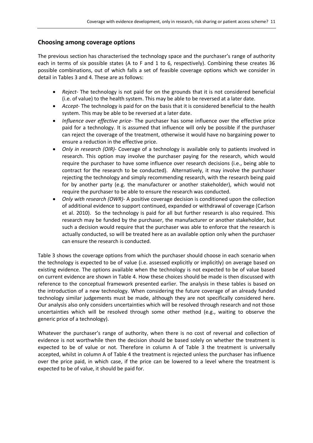#### **Choosing among coverage options**

The previous section has characterised the technology space and the purchaser's range of authority each in terms of six possible states (A to F and 1 to 6, respectively). Combining these creates 36 possible combinations, out of which falls a set of feasible coverage options which we consider in detail in Tables 3 and 4. These are as follows:

- *Reject* The technology is not paid for on the grounds that it is not considered beneficial (i.e. of value) to the health system. This may be able to be reversed at a later date.
- *Accept* The technology is paid for on the basis that it is considered beneficial to the health system. This may be able to be reversed at a later date.
- *Influence over effective price* The purchaser has some influence over the effective price paid for a technology. It is assumed that influence will only be possible if the purchaser can reject the coverage of the treatment, otherwise it would have no bargaining power to ensure a reduction in the effective price.
- *Only in research (OIR)* Coverage of a technology is available only to patients involved in research. This option may involve the purchaser paying for the research, which would require the purchaser to have some influence over research decisions (i.e., being able to contract for the research to be conducted). Alternatively, it may involve the purchaser rejecting the technology and simply recommending research, with the research being paid for by another party (e.g. the manufacturer or another stakeholder), which would not require the purchaser to be able to ensure the research was conducted.
- *Only with research (OWR)* A positive coverage decision is conditioned upon the collection of additional evidence to support continued, expanded or withdrawal of coverage (Carlson et al. 2010). So the technology is paid for all but further research is also required. This research may be funded by the purchaser, the manufacturer or another stakeholder, but such a decision would require that the purchaser was able to enforce that the research is actually conducted, so will be treated here as an available option only when the purchaser can ensure the research is conducted.

Table 3 shows the coverage options from which the purchaser should choose in each scenario when the technology is expected to be of value (i.e. assessed explicitly or implicitly) on average based on existing evidence. The options available when the technology is not expected to be of value based on current evidence are shown in Table 4. How these choices should be made is then discussed with reference to the conceptual framework presented earlier. The analysis in these tables is based on the introduction of a new technology. When considering the future coverage of an already funded technology similar judgements must be made, although they are not specifically considered here. Our analysis also only considers uncertainties which will be resolved through research and not those uncertainties which will be resolved through some other method (e.g., waiting to observe the generic price of a technology).

Whatever the purchaser's range of authority, when there is no cost of reversal and collection of evidence is not worthwhile then the decision should be based solely on whether the treatment is expected to be of value or not. Therefore in column A of Table 3 the treatment is universally accepted, whilst in column A of Table 4 the treatment is rejected unless the purchaser has influence over the price paid, in which case, if the price can be lowered to a level where the treatment is expected to be of value, it should be paid for.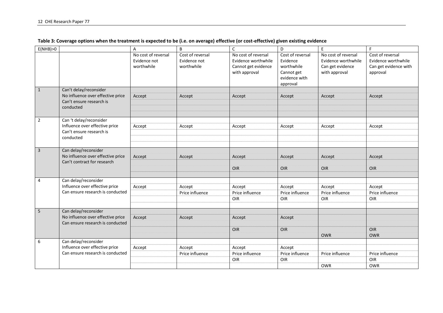| E(NHB) > 0     |                                                                                                      | A                                                 | B                                              | $\mathsf C$                                                                        | D                                                                                     | $\mathsf E$                                                                     | F                                                                            |
|----------------|------------------------------------------------------------------------------------------------------|---------------------------------------------------|------------------------------------------------|------------------------------------------------------------------------------------|---------------------------------------------------------------------------------------|---------------------------------------------------------------------------------|------------------------------------------------------------------------------|
|                |                                                                                                      | No cost of reversal<br>Evidence not<br>worthwhile | Cost of reversal<br>Evidence not<br>worthwhile | No cost of reversal<br>Evidence worthwhile<br>Cannot get evidence<br>with approval | Cost of reversal<br>Evidence<br>worthwhile<br>Cannot get<br>evidence with<br>approval | No cost of reversal<br>Evidence worthwhile<br>Can get evidence<br>with approval | Cost of reversal<br>Evidence worthwhile<br>Can get evidence with<br>approval |
| $\mathbf{1}$   | Can't delay/reconsider<br>No influence over effective price<br>Can't ensure research is<br>conducted | Accept                                            | Accept                                         | Accept                                                                             | Accept                                                                                | Accept                                                                          | Accept                                                                       |
| $\overline{2}$ | Can 't delay/reconsider<br>Influence over effective price<br>Can't ensure research is<br>conducted   | Accept                                            | Accept                                         | Accept                                                                             | Accept                                                                                | Accept                                                                          | Accept                                                                       |
| $\overline{3}$ | Can delay/reconsider<br>No influence over effective price<br>Can't contract for research             | Accept                                            | Accept                                         | Accept<br>OIR                                                                      | Accept<br><b>OIR</b>                                                                  | Accept<br>OIR                                                                   | Accept<br>OIR                                                                |
| 4              | Can delay/reconsider<br>Influence over effective price<br>Can ensure research is conducted           | Accept                                            | Accept<br>Price influence                      | Accept<br>Price influence<br>OIR                                                   | Accept<br>Price influence<br>OIR                                                      | Accept<br>Price influence<br>OIR                                                | Accept<br>Price influence<br>OIR                                             |
| $5\phantom{a}$ | Can delay/reconsider<br>No influence over effective price<br>Can ensure research is conducted        | Accept                                            | Accept                                         | Accept<br>OIR                                                                      | Accept<br>OIR                                                                         | <b>OWR</b>                                                                      | <b>OIR</b><br><b>OWR</b>                                                     |
| 6              | Can delay/reconsider<br>Influence over effective price<br>Can ensure research is conducted           | Accept                                            | Accept<br>Price influence                      | Accept<br>Price influence<br>OIR                                                   | Accept<br>Price influence<br>OIR                                                      | Price influence<br><b>OWR</b>                                                   | Price influence<br>OIR<br><b>OWR</b>                                         |

**Table 3: Coverage options when the treatment is expected to be (i.e. on average) effective (or cost-effective) given existing evidence**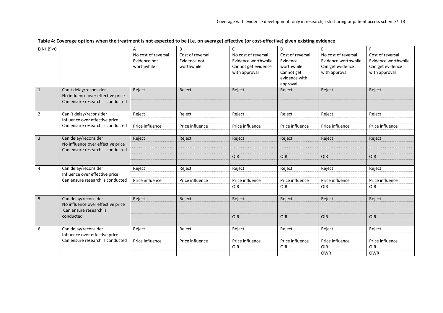| E(NHB)<0       |                                                                                                 | A                                                 | B                                              | $\mathsf C$                                                                        | D                                                                                     | E                                                                               | E                                                                            |
|----------------|-------------------------------------------------------------------------------------------------|---------------------------------------------------|------------------------------------------------|------------------------------------------------------------------------------------|---------------------------------------------------------------------------------------|---------------------------------------------------------------------------------|------------------------------------------------------------------------------|
|                |                                                                                                 | No cost of reversal<br>Evidence not<br>worthwhile | Cost of reversal<br>Evidence not<br>worthwhile | No cost of reversal<br>Evidence worthwhile<br>Cannot get evidence<br>with approval | Cost of reversal<br>Evidence<br>worthwhile<br>Cannot get<br>evidence with<br>approval | No cost of reversal<br>Evidence worthwhile<br>Can get evidence<br>with approval | Cost of reversal<br>Evidence worthwhile<br>Can get evidence<br>with approval |
| $\mathbf{1}$   | Can't delay/reconsider<br>No influence over effective price<br>Can ensure research is conducted | Reject                                            | Reject                                         | Reject                                                                             | Reject                                                                                | Reject                                                                          | Reject                                                                       |
| $\overline{2}$ | Can 't delay/reconsider                                                                         | Reject                                            | Reject                                         | Reject                                                                             | Reject                                                                                | Reject                                                                          | Reject                                                                       |
|                | Influence over effective price<br>Can ensure research is conducted                              | Price influence                                   | Price influence                                | Price influence                                                                    | Price influence                                                                       | Price influence                                                                 | Price influence                                                              |
| $\mathbf{3}$   | Can delay/reconsider<br>No influence over effective price<br>Can ensure research is conducted   | Reject                                            | Reject                                         | Reject                                                                             | Reject                                                                                | Reject                                                                          | Reject                                                                       |
|                |                                                                                                 |                                                   |                                                | <b>OIR</b>                                                                         | OIR                                                                                   | OIR                                                                             | <b>OIR</b>                                                                   |
| 4              | Can delay/reconsider<br>Influence over effective price                                          | Reject                                            | Reject                                         | Reject                                                                             | Reject                                                                                | Reject                                                                          | Reject                                                                       |
|                | Can ensure research is conducted                                                                | Price influence                                   | Price influence                                | Price influence                                                                    | Price influence                                                                       | Price influence                                                                 | Price influence                                                              |
|                |                                                                                                 |                                                   |                                                | OIR                                                                                | OIR                                                                                   | OIR                                                                             | OIR                                                                          |
| 5              | Can delay/reconsider<br>No influence over effective price<br>Can ensure research is             | Reject                                            | Reject                                         | Reject                                                                             | Reject                                                                                | Reject                                                                          | Reject                                                                       |
|                | conducted                                                                                       |                                                   |                                                | <b>OIR</b>                                                                         | <b>OIR</b>                                                                            | OIR                                                                             | OIR                                                                          |
| 6              | Can delay/reconsider<br>Influence over effective price                                          | Reject                                            | Reject                                         | Reject                                                                             | Reject                                                                                | Reject                                                                          | Reject                                                                       |
|                | Can ensure research is conducted                                                                | Price influence                                   | Price influence                                | Price influence                                                                    | Price influence                                                                       | Price influence                                                                 | Price influence                                                              |
|                |                                                                                                 |                                                   |                                                | OIR                                                                                | OIR                                                                                   | OIR                                                                             | OIR                                                                          |
|                |                                                                                                 |                                                   |                                                |                                                                                    |                                                                                       | <b>OWR</b>                                                                      | <b>OWR</b>                                                                   |

#### **Table 4: Coverage options when the treatment is not expected to be (i.e. on average) effective (or cost-effective) given existing evidence**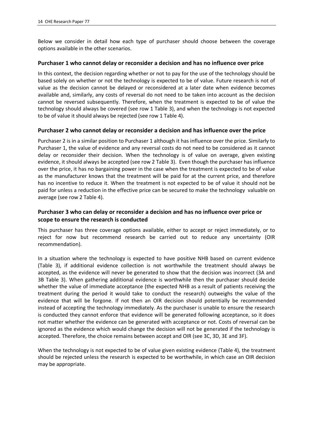Below we consider in detail how each type of purchaser should choose between the coverage options available in the other scenarios.

#### **Purchaser 1 who cannot delay or reconsider a decision and has no influence over price**

In this context, the decision regarding whether or not to pay for the use of the technology should be based solely on whether or not the technology is expected to be of value. Future research is not of value as the decision cannot be delayed or reconsidered at a later date when evidence becomes available and, similarly, any costs of reversal do not need to be taken into account as the decision cannot be reversed subsequently. Therefore, when the treatment is expected to be of value the technology should always be covered (see row 1 Table 3), and when the technology is not expected to be of value it should always be rejected (see row 1 Table 4).

#### **Purchaser 2 who cannot delay or reconsider a decision and has influence over the price**

Purchaser 2 is in a similar position to Purchaser 1 although it has influence over the price. Similarly to Purchaser 1, the value of evidence and any reversal costs do not need to be considered as it cannot delay or reconsider their decision. When the technology is of value on average, given existing evidence, it should always be accepted (see row 2 Table 3). Even though the purchaser has influence over the price, it has no bargaining power in the case when the treatment is expected to be of value as the manufacturer knows that the treatment will be paid for at the current price, and therefore has no incentive to reduce it. When the treatment is not expected to be of value it should not be paid for unless a reduction in the effective price can be secured to make the technology valuable on average (see row 2 Table 4).

## **Purchaser 3 who can delay or reconsider a decision and has no influence over price or scope to ensure the research is conducted**

This purchaser has three coverage options available, either to accept or reject immediately, or to reject for now but recommend research be carried out to reduce any uncertainty (OIR recommendation).

In a situation where the technology is expected to have positive NHB based on current evidence (Table 3), if additional evidence collection is not worthwhile the treatment should always be accepted, as the evidence will never be generated to show that the decision was incorrect (3A and 3B Table 3). When gathering additional evidence is worthwhile then the purchaser should decide whether the value of immediate acceptance (the expected NHB as a result of patients receiving the treatment during the period it would take to conduct the research) outweighs the value of the evidence that will be forgone. If not then an OIR decision should potentially be recommended instead of accepting the technology immediately. As the purchaser is unable to ensure the research is conducted they cannot enforce that evidence will be generated following acceptance, so it does not matter whether the evidence can be generated with acceptance or not. Costs of reversal can be ignored as the evidence which would change the decision will not be generated if the technology is accepted. Therefore, the choice remains between accept and OIR (see 3C, 3D, 3E and 3F).

When the technology is not expected to be of value given existing evidence (Table 4), the treatment should be rejected unless the research is expected to be worthwhile, in which case an OIR decision may be appropriate.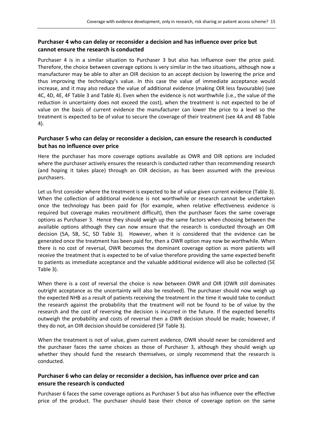## **Purchaser 4 who can delay or reconsider a decision and has influence over price but cannot ensure the research is conducted**

Purchaser 4 is in a similar situation to Purchaser 3 but also has influence over the price paid. Therefore, the choice between coverage options is very similar in the two situations, although now a manufacturer may be able to alter an OIR decision to an accept decision by lowering the price and thus improving the technology's value. In this case the value of immediate acceptance would increase, and it may also reduce the value of additional evidence (making OIR less favourable) (see 4C, 4D, 4E, 4F Table 3 and Table 4). Even when the evidence is not worthwhile (i.e., the value of the reduction in uncertainty does not exceed the cost), when the treatment is not expected to be of value on the basis of current evidence the manufacturer can lower the price to a level so the treatment is expected to be of value to secure the coverage of their treatment (see 4A and 4B Table 4).

#### **Purchaser 5 who can delay or reconsider a decision, can ensure the research is conducted but has no influence over price**

Here the purchaser has more coverage options available as OWR and OIR options are included where the purchaser actively ensures the research is conducted rather than recommending research (and hoping it takes place) through an OIR decision, as has been assumed with the previous purchasers.

Let us first consider where the treatment is expected to be of value given current evidence (Table 3). When the collection of additional evidence is not worthwhile or research cannot be undertaken once the technology has been paid for (for example, when relative effectiveness evidence is required but coverage makes recruitment difficult), then the purchaser faces the same coverage options as Purchaser 3. Hence they should weigh up the same factors when choosing between the available options although they can now ensure that the research is conducted through an OIR decision (5A, 5B, 5C, 5D Table 3). However, when it is considered that the evidence can be generated once the treatment has been paid for, then a OWR option may now be worthwhile. When there is no cost of reversal, OWR becomes the dominant coverage option as more patients will receive the treatment that is expected to be of value therefore providing the same expected benefit to patients as immediate acceptance and the valuable additional evidence will also be collected (5E Table 3).

When there is a cost of reversal the choice is now between OWR and OIR (OWR still dominates outright acceptance as the uncertainty will also be resolved). The purchaser should now weigh up the expected NHB as a result of patients receiving the treatment in the time it would take to conduct the research against the probability that the treatment will not be found to be of value by the research and the cost of reversing the decision is incurred in the future. If the expected benefits outweigh the probability and costs of reversal then a OWR decision should be made; however, if they do not, an OIR decision should be considered (5F Table 3).

When the treatment is not of value, given current evidence, OWR should never be considered and the purchaser faces the same choices as those of Purchaser 3, although they should weigh up whether they should fund the research themselves, or simply recommend that the research is conducted.

## **Purchaser 6 who can delay or reconsider a decision, has influence over price and can ensure the research is conducted**

Purchaser 6 faces the same coverage options as Purchaser 5 but also has influence over the effective price of the product. The purchaser should base their choice of coverage option on the same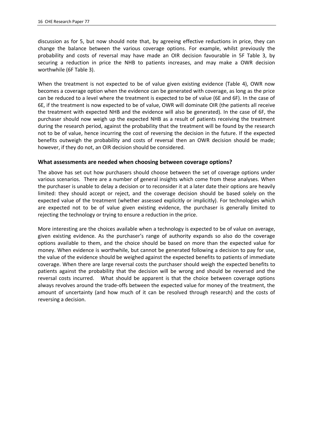discussion as for 5, but now should note that, by agreeing effective reductions in price, they can change the balance between the various coverage options. For example, whilst previously the probability and costs of reversal may have made an OIR decision favourable in 5F Table 3, by securing a reduction in price the NHB to patients increases, and may make a OWR decision worthwhile (6F Table 3).

When the treatment is not expected to be of value given existing evidence (Table 4), OWR now becomes a coverage option when the evidence can be generated with coverage, as long as the price can be reduced to a level where the treatment is expected to be of value (6E and 6F). In the case of 6E, if the treatment is now expected to be of value, OWR will dominate OIR (the patients all receive the treatment with expected NHB and the evidence will also be generated). In the case of 6F, the purchaser should now weigh up the expected NHB as a result of patients receiving the treatment during the research period, against the probability that the treatment will be found by the research not to be of value, hence incurring the cost of reversing the decision in the future. If the expected benefits outweigh the probability and costs of reversal then an OWR decision should be made; however, if they do not, an OIR decision should be considered.

#### **What assessments are needed when choosing between coverage options?**

The above has set out how purchasers should choose between the set of coverage options under various scenarios. There are a number of general insights which come from these analyses. When the purchaser is unable to delay a decision or to reconsider it at a later date their options are heavily limited: they should accept or reject, and the coverage decision should be based solely on the expected value of the treatment (whether assessed explicitly or implicitly). For technologies which are expected not to be of value given existing evidence, the purchaser is generally limited to rejecting the technology or trying to ensure a reduction in the price.

More interesting are the choices available when a technology is expected to be of value on average, given existing evidence. As the purchaser's range of authority expands so also do the coverage options available to them, and the choice should be based on more than the expected value for money. When evidence is worthwhile, but cannot be generated following a decision to pay for use, the value of the evidence should be weighed against the expected benefits to patients of immediate coverage. When there are large reversal costs the purchaser should weigh the expected benefits to patients against the probability that the decision will be wrong and should be reversed and the reversal costs incurred. What should be apparent is that the choice between coverage options always revolves around the trade-offs between the expected value for money of the treatment, the amount of uncertainty (and how much of it can be resolved through research) and the costs of reversing a decision.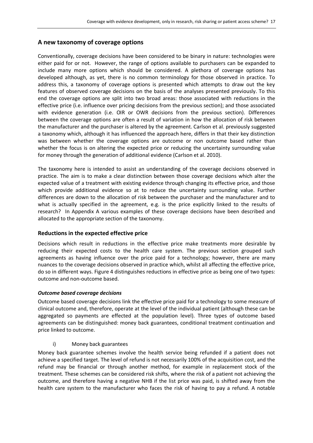## **A new taxonomy of coverage options**

Conventionally, coverage decisions have been considered to be binary in nature: technologies were either paid for or not. However, the range of options available to purchasers can be expanded to include many more options which should be considered. A plethora of coverage options has developed although, as yet, there is no common terminology for those observed in practice. To address this, a taxonomy of coverage options is presented which attempts to draw out the key features of observed coverage decisions on the basis of the analyses presented previously. To this end the coverage options are split into two broad areas: those associated with reductions in the effective price (i.e. influence over pricing decisions from the previous section); and those associated with evidence generation (i.e. OIR or OWR decisions from the previous section). Differences between the coverage options are often a result of variation in how the allocation of risk between the manufacturer and the purchaser is altered by the agreement. Carlson et al. previously suggested a taxonomy which, although it has influenced the approach here, differs in that their key distinction was between whether the coverage options are outcome or non outcome based rather than whether the focus is on altering the expected price or reducing the uncertainty surrounding value for money through the generation of additional evidence (Carlson et al. 2010).

The taxonomy here is intended to assist an understanding of the coverage decisions observed in practice. The aim is to make a clear distinction between those coverage decisions which alter the expected value of a treatment with existing evidence through changing its effective price, and those which provide additional evidence so at to reduce the uncertainty surrounding value. Further differences are down to the allocation of risk between the purchaser and the manufacturer and to what is actually specified in the agreement, e.g. is the price explicitly linked to the results of research? In Appendix A various examples of these coverage decisions have been described and allocated to the appropriate section of the taxonomy.

## **Reductions in the expected effective price**

Decisions which result in reductions in the effective price make treatments more desirable by reducing their expected costs to the health care system. The previous section grouped such agreements as having influence over the price paid for a technology; however, there are many nuances to the coverage decisions observed in practice which, whilst all affecting the effective price, do so in different ways. Figure 4 distinguishes reductions in effective price as being one of two types: outcome and non-outcome based.

#### *Outcome based coverage decisions*

Outcome based coverage decisions link the effective price paid for a technology to some measure of clinical outcome and, therefore, operate at the level of the individual patient (although these can be aggregated so payments are effected at the population level). Three types of outcome based agreements can be distinguished: money back guarantees, conditional treatment continuation and price linked to outcome.

#### i) Money back guarantees

Money back guarantee schemes involve the health service being refunded if a patient does not achieve a specified target. The level of refund is not necessarily 100% of the acquisition cost, and the refund may be financial or through another method, for example in replacement stock of the treatment. These schemes can be considered risk shifts, where the risk of a patient not achieving the outcome, and therefore having a negative NHB if the list price was paid, is shifted away from the health care system to the manufacturer who faces the risk of having to pay a refund. A notable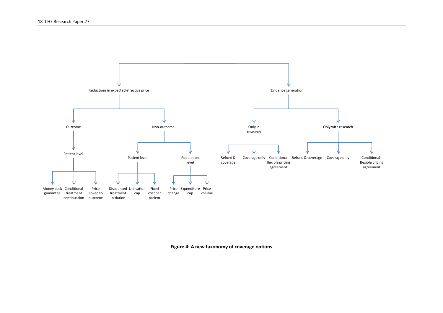

**Figure 4: A new taxonomy of coverage options**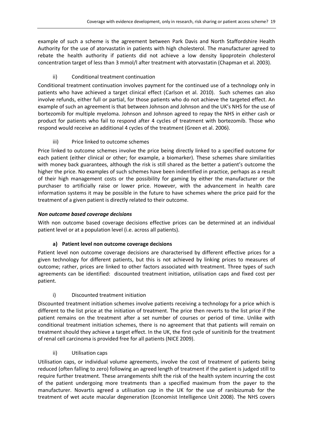example of such a scheme is the agreement between Park Davis and North Staffordshire Health Authority for the use of atorvastatin in patients with high cholesterol. The manufacturer agreed to rebate the health authority if patients did not achieve a low density lipoprotein cholesterol concentration target of less than 3 mmol/l after treatment with atorvastatin (Chapman et al. 2003).

## ii) Conditional treatment continuation

Conditional treatment continuation involves payment for the continued use of a technology only in patients who have achieved a target clinical effect (Carlson et al. 2010). Such schemes can also involve refunds, either full or partial, for those patients who do not achieve the targeted effect. An example of such an agreement is that between Johnson and Johnson and the UK's NHS for the use of bortezomib for multiple myeloma. Johnson and Johnson agreed to repay the NHS in either cash or product for patients who fail to respond after 4 cycles of treatment with bortezomib. Those who respond would receive an additional 4 cycles of the treatment (Green et al. 2006).

## iii) Price linked to outcome schemes

Price linked to outcome schemes involve the price being directly linked to a specified outcome for each patient (either clinical or other; for example, a biomarker). These schemes share similarities with money back guarantees, although the risk is still shared as the better a patient's outcome the higher the price. No examples of such schemes have been indentified in practice, perhaps as a result of their high management costs or the possibility for gaming by either the manufacturer or the purchaser to artificially raise or lower price. However, with the advancement in health care information systems it may be possible in the future to have schemes where the price paid for the treatment of a given patient is directly related to their outcome.

## *Non outcome based coverage decisions*

With non outcome based coverage decisions effective prices can be determined at an individual patient level or at a population level (i.e. across all patients).

## **a) Patient level non outcome coverage decisions**

Patient level non outcome coverage decisions are characterised by different effective prices for a given technology for different patients, but this is not achieved by linking prices to measures of outcome; rather, prices are linked to other factors associated with treatment. Three types of such agreements can be identified: discounted treatment initiation, utilisation caps and fixed cost per patient.

## i) Discounted treatment initiation

Discounted treatment initiation schemes involve patients receiving a technology for a price which is different to the list price at the initiation of treatment. The price then reverts to the list price if the patient remains on the treatment after a set number of courses or period of time. Unlike with conditional treatment initiation schemes, there is no agreement that that patients will remain on treatment should they achieve a target effect. In the UK, the first cycle of sunitinib for the treatment of renal cell carcinoma is provided free for all patients (NICE 2009).

## ii) Utilisation caps

Utilisation caps, or individual volume agreements, involve the cost of treatment of patients being reduced (often falling to zero) following an agreed length of treatment if the patient is judged still to require further treatment. These arrangements shift the risk of the health system incurring the cost of the patient undergoing more treatments than a specified maximum from the payer to the manufacturer. Novartis agreed a utilisation cap in the UK for the use of ranibizumab for the treatment of wet acute macular degeneration (Economist Intelligence Unit 2008). The NHS covers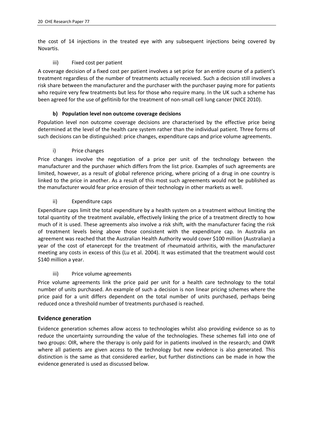the cost of 14 injections in the treated eye with any subsequent injections being covered by Novartis.

## iii) Fixed cost per patient

A coverage decision of a fixed cost per patient involves a set price for an entire course of a patient's treatment regardless of the number of treatments actually received. Such a decision still involves a risk share between the manufacturer and the purchaser with the purchaser paying more for patients who require very few treatments but less for those who require many. In the UK such a scheme has been agreed for the use of gefitinib for the treatment of non-small cell lung cancer (NICE 2010).

## **b) Population level non outcome coverage decisions**

Population level non outcome coverage decisions are characterised by the effective price being determined at the level of the health care system rather than the individual patient. Three forms of such decisions can be distinguished: price changes, expenditure caps and price volume agreements.

## i) Price changes

Price changes involve the negotiation of a price per unit of the technology between the manufacturer and the purchaser which differs from the list price. Examples of such agreements are limited, however, as a result of global reference pricing, where pricing of a drug in one country is linked to the price in another. As a result of this most such agreements would not be published as the manufacturer would fear price erosion of their technology in other markets as well.

## ii) Expenditure caps

Expenditure caps limit the total expenditure by a health system on a treatment without limiting the total quantity of the treatment available, effectively linking the price of a treatment directly to how much of it is used. These agreements also involve a risk shift, with the manufacturer facing the risk of treatment levels being above those consistent with the expenditure cap. In Australia an agreement was reached that the Australian Health Authority would cover \$100 million (Australian) a year of the cost of etanercept for the treatment of rheumatoid arthritis, with the manufacturer meeting any costs in excess of this (Lu et al. 2004). It was estimated that the treatment would cost \$140 million a year.

## iii) Price volume agreements

Price volume agreements link the price paid per unit for a health care technology to the total number of units purchased. An example of such a decision is non linear pricing schemes where the price paid for a unit differs dependent on the total number of units purchased, perhaps being reduced once a threshold number of treatments purchased is reached.

## **Evidence generation**

Evidence generation schemes allow access to technologies whilst also providing evidence so as to reduce the uncertainty surrounding the value of the technologies. These schemes fall into one of two groups: OIR, where the therapy is only paid for in patients involved in the research; and OWR where all patients are given access to the technology but new evidence is also generated. This distinction is the same as that considered earlier, but further distinctions can be made in how the evidence generated is used as discussed below.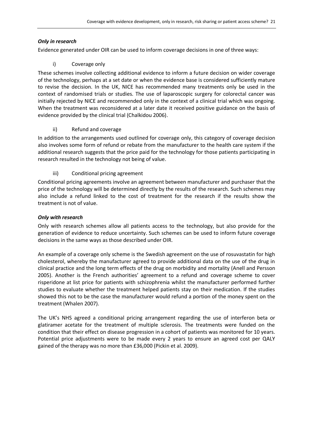## *Only in research*

Evidence generated under OIR can be used to inform coverage decisions in one of three ways:

## i) Coverage only

These schemes involve collecting additional evidence to inform a future decision on wider coverage of the technology, perhaps at a set date or when the evidence base is considered sufficiently mature to revise the decision. In the UK, NICE has recommended many treatments only be used in the context of randomised trials or studies. The use of laparoscopic surgery for colorectal cancer was initially rejected by NICE and recommended only in the context of a clinical trial which was ongoing. When the treatment was reconsidered at a later date it received positive guidance on the basis of evidence provided by the clinical trial (Chalkidou 2006).

## ii) Refund and coverage

In addition to the arrangements used outlined for coverage only, this category of coverage decision also involves some form of refund or rebate from the manufacturer to the health care system if the additional research suggests that the price paid for the technology for those patients participating in research resulted in the technology not being of value.

## iii) Conditional pricing agreement

Conditional pricing agreements involve an agreement between manufacturer and purchaser that the price of the technology will be determined directly by the results of the research. Such schemes may also include a refund linked to the cost of treatment for the research if the results show the treatment is not of value.

## *Only with research*

Only with research schemes allow all patients access to the technology, but also provide for the generation of evidence to reduce uncertainty. Such schemes can be used to inform future coverage decisions in the same ways as those described under OIR.

An example of a coverage only scheme is the Swedish agreement on the use of rosuvastatin for high cholesterol, whereby the manufacturer agreed to provide additional data on the use of the drug in clinical practice and the long term effects of the drug on morbidity and mortality (Anell and Persson 2005). Another is the French authorities' agreement to a refund and coverage scheme to cover risperidone at list price for patients with schizophrenia whilst the manufacturer performed further studies to evaluate whether the treatment helped patients stay on their medication. If the studies showed this not to be the case the manufacturer would refund a portion of the money spent on the treatment (Whalen 2007).

The UK's NHS agreed a conditional pricing arrangement regarding the use of interferon beta or glatiramer acetate for the treatment of multiple sclerosis. The treatments were funded on the condition that their effect on disease progression in a cohort of patients was monitored for 10 years. Potential price adjustments were to be made every 2 years to ensure an agreed cost per QALY gained of the therapy was no more than £36,000 (Pickin et al. 2009).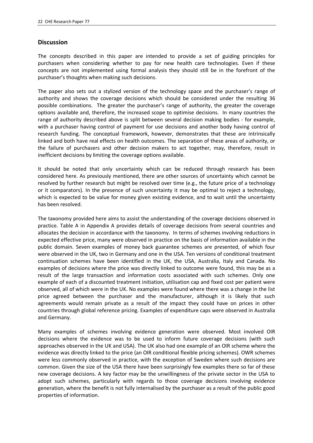## **Discussion**

The concepts described in this paper are intended to provide a set of guiding principles for purchasers when considering whether to pay for new health care technologies. Even if these concepts are not implemented using formal analysis they should still be in the forefront of the purchaser's thoughts when making such decisions.

The paper also sets out a stylized version of the technology space and the purchaser's range of authority and shows the coverage decisions which should be considered under the resulting 36 possible combinations. The greater the purchaser's range of authority, the greater the coverage options available and, therefore, the increased scope to optimise decisions. In many countries the range of authority described above is split between several decision making bodies - for example, with a purchaser having control of payment for use decisions and another body having control of research funding. The conceptual framework, however, demonstrates that these are intrinsically linked and both have real effects on health outcomes. The separation of these areas of authority, or the failure of purchasers and other decision makers to act together, may, therefore, result in inefficient decisions by limiting the coverage options available.

It should be noted that only uncertainty which can be reduced through research has been considered here. As previously mentioned, there are other sources of uncertainty which cannot be resolved by further research but might be resolved over time (e.g., the future price of a technology or it comparators). In the presence of such uncertainty it may be optimal to reject a technology, which is expected to be value for money given existing evidence, and to wait until the uncertainty has been resolved.

The taxonomy provided here aims to assist the understanding of the coverage decisions observed in practice. Table A in Appendix A provides details of coverage decisions from several countries and allocates the decision in accordance with the taxonomy. In terms of schemes involving reductions in expected effective price, many were observed in practice on the basis of information available in the public domain. Seven examples of money back guarantee schemes are presented, of which four were observed in the UK, two in Germany and one in the USA. Ten versions of conditional treatment continuation schemes have been identified in the UK, the USA, Australia, Italy and Canada. No examples of decisions where the price was directly linked to outcome were found, this may be as a result of the large transaction and information costs associated with such schemes. Only one example of each of a discounted treatment initiation, utilisation cap and fixed cost per patient were observed, all of which were in the UK. No examples were found where there was a change in the list price agreed between the purchaser and the manufacturer, although it is likely that such agreements would remain private as a result of the impact they could have on prices in other countries through global reference pricing. Examples of expenditure caps were observed in Australia and Germany.

Many examples of schemes involving evidence generation were observed. Most involved OIR decisions where the evidence was to be used to inform future coverage decisions (with such approaches observed in the UK and USA). The UK also had one example of an OIR scheme where the evidence was directly linked to the price (an OIR conditional flexible pricing schemes). OWR schemes were less commonly observed in practice, with the exception of Sweden where such decisions are common. Given the size of the USA there have been surprisingly few examples there so far of these new coverage decisions. A key factor may be the unwillingness of the private sector in the USA to adopt such schemes, particularly with regards to those coverage decisions involving evidence generation, where the benefit is not fully internalised by the purchaser as a result of the public good properties of information.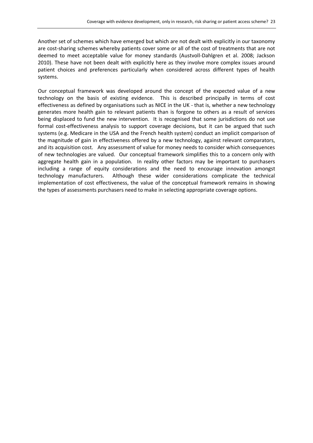Another set of schemes which have emerged but which are not dealt with explicitly in our taxonomy are cost-sharing schemes whereby patients cover some or all of the cost of treatments that are not deemed to meet acceptable value for money standards (Austvoll-Dahlgren et al. 2008; Jackson 2010). These have not been dealt with explicitly here as they involve more complex issues around patient choices and preferences particularly when considered across different types of health systems.

Our conceptual framework was developed around the concept of the expected value of a new technology on the basis of existing evidence. This is described principally in terms of cost effectiveness as defined by organisations such as NICE in the UK - that is, whether a new technology generates more health gain to relevant patients than is forgone to others as a result of services being displaced to fund the new intervention. It is recognised that some jurisdictions do not use formal cost-effectiveness analysis to support coverage decisions, but it can be argued that such systems (e.g. Medicare in the USA and the French health system) conduct an implicit comparison of the magnitude of gain in effectiveness offered by a new technology, against relevant comparators, and its acquisition cost. Any assessment of value for money needs to consider which consequences of new technologies are valued. Our conceptual framework simplifies this to a concern only with aggregate health gain in a population. In reality other factors may be important to purchasers including a range of equity considerations and the need to encourage innovation amongst technology manufacturers. Although these wider considerations complicate the technical implementation of cost effectiveness, the value of the conceptual framework remains in showing the types of assessments purchasers need to make in selecting appropriate coverage options.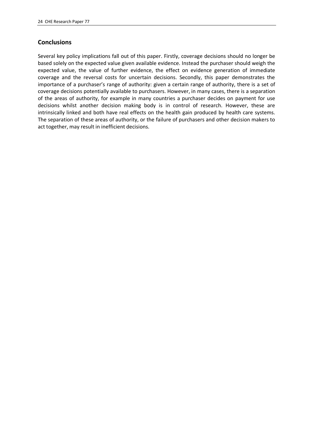## **Conclusions**

Several key policy implications fall out of this paper. Firstly, coverage decisions should no longer be based solely on the expected value given available evidence. Instead the purchaser should weigh the expected value, the value of further evidence, the effect on evidence generation of immediate coverage and the reversal costs for uncertain decisions. Secondly, this paper demonstrates the importance of a purchaser's range of authority: given a certain range of authority, there is a set of coverage decisions potentially available to purchasers. However, in many cases, there is a separation of the areas of authority, for example in many countries a purchaser decides on payment for use decisions whilst another decision making body is in control of research. However, these are intrinsically linked and both have real effects on the health gain produced by health care systems. The separation of these areas of authority, or the failure of purchasers and other decision makers to act together, may result in inefficient decisions.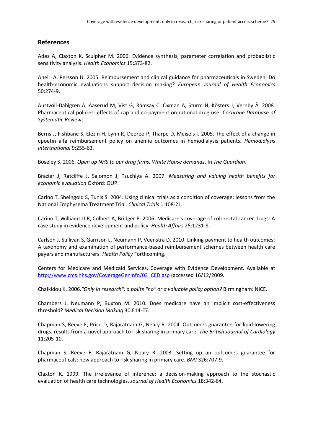#### **References**

Ades A, Claxton K, Sculpher M. 2006. Evidence synthesis, parameter correlation and probablistic sensitivity analysis. *Health Economics* 15:373-82.

Anell A, Persson U. 2005. Reimbursement and clinical guidance for pharmaceuticals in Sweden: Do health-economic evaluations support decision making? *European Journal of Health Economics* 50:274-9.

Austvoll-Dahlgren A, Aaserud M, Vist G, Ramsay C, Oxman A, Sturm H, Kösters J, Vernby Å. 2008. Pharmaceutical policies: effects of cap and co-payment on rational drug use. *Cochrane Database of Systematic Reviews*.

Berns J, Fishbane S, Elezin H, Lynn R, Deoreo P, Tharpe D, Meisels I. 2005. The effect of a change in epoetin alfa reimbursement policy on anemia outcomes in hemodialysis patients. *Hemodialysis Intertnational* 9:255-63.

Boseley S. 2006. *Open up NHS to our drug firms, White House demands*. In *The Guardian*.

Brazier J, Ratcliffe J, Salomon J, Tsuchiya A. 2007. *Measuring and valuing health benefits for economic evaluation* Oxford: OUP.

Carino T, Sheingold S, Tunis S. 2004. Using clinical trials as a condition of coverage: lessons from the National Emphysema Treatment Trial. *Clinical Trials* 1:108-21.

Carino T, Williams II R, Colbert A, Bridger P. 2006. Medicare's coverage of colorectal cancer drugs: A case study in evidence development and policy. *Health Affairs* 25:1231-9.

Carlson J, Sullivan S, Garrison L, Neumann P, Veenstra D. 2010. Linking payment to health outcomes: A taxonomy and examination of performance-based reimbursement schemes between health care payers and manufacturers. *Health Policy* Forthcoming.

Centers for Medicare and Medicaid Services. Coverage with Evidence Development. Available at http://www.cms.hhs.gov/CoverageGenInfo/03\_CED.asp (accessed 16/12/2009.

Chalkidou K. 2006.*"Only in research": a polite "no" or a valuable policy option?* Birmingham: NICE.

Chambers J, Neumann P, Buxton M. 2010. Does medicare have an implicit cost-effectiveness threshold? *Medical Decision Making* 30:E14-E7.

Chapman S, Reeve E, Price D, Rajaratnam G, Neary R. 2004. Outcomes guarantee for lipid-lowering drugs: results from a novel approach to risk sharing in primary care. *The British Journal of Cardiology* 11:205-10.

Chapman S, Reeve E, Rajaratnam G, Neary R. 2003. Setting up an outcomes guarantee for pharmaceuticals: new approach to risk sharing in primary care. *BMJ* 326:707-9.

Claxton K. 1999. The irrelevance of inference: a decision-making approach to the stochastic evaluation of health care technologies. *Journal of Health Economics* 18:342-64.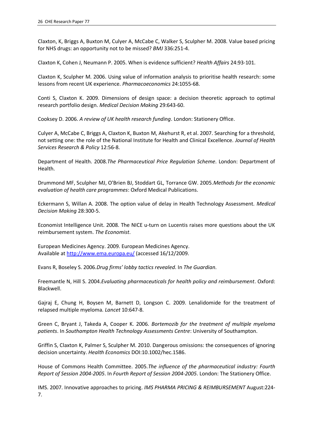Claxton, K, Briggs A, Buxton M, Culyer A, McCabe C, Walker S, Sculpher M. 2008. Value based pricing for NHS drugs: an opportunity not to be missed? *BMJ* 336:251-4.

Claxton K, Cohen J, Neumann P. 2005. When is evidence sufficient? *Health Affairs* 24:93-101.

Claxton K, Sculpher M. 2006. Using value of information analysis to prioritise health research: some lessons from recent UK experience. *Pharmacoeconomics* 24:1055-68.

Conti S, Claxton K. 2009. Dimensions of design space: a decision theoretic approach to optimal research portfolio design. *Medical Decision Making* 29:643-60.

Cooksey D. 2006. *A review of UK health research funding*. London: Stationery Office.

Culyer A, McCabe C, Briggs A, Claxton K, Buxton M, Akehurst R, et al. 2007. Searching for a threshold, not setting one: the role of the National Institute for Health and Clinical Excellence. *Journal of Health Services Research & Policy* 12:56-8.

Department of Health. 2008.*The Pharmaceutical Price Regulation Scheme*. London: Department of Health.

Drummond MF, Sculpher MJ, O'Brien BJ, Stoddart GL, Torrance GW. 2005.*Methods for the economic evaluation of health care programmes*: Oxford Medical Publications.

Eckermann S, Willan A. 2008. The option value of delay in Health Technology Assessment. *Medical Decision Making* 28:300-5.

Economist Intelligence Unit. 2008. The NICE u-turn on Lucentis raises more questions about the UK reimbursement system. *The Economist*.

European Medicines Agency. 2009. European Medicines Agency. Available at http://www.ema.europa.eu/ (accessed 16/12/2009.

Evans R, Boseley S. 2006.*Drug firms' lobby tactics revealed*. In *The Guardian*.

Freemantle N, Hill S. 2004.*Evaluating pharmaceuticals for health policy and reimbursement*. Oxford: Blackwell.

Gajraj E, Chung H, Boysen M, Barnett D, Longson C. 2009. Lenalidomide for the treatment of relapsed multiple myeloma. *Lancet* 10:647-8.

Green C, Bryant J, Takeda A, Cooper K. 2006. *Bortemozib for the treatment of multiple myeloma patients*. In *Southampton Health Technology Assessments Centre*: University of Southampton.

Griffin S, Claxton K, Palmer S, Sculpher M. 2010. Dangerous omissions: the consequences of ignoring decision uncertainty. *Health Economics* DOI:10.1002/hec.1586.

House of Commons Health Committee. 2005.*The influence of the pharmaceutical industry: Fourth Report of Session 2004-2005*. In *Fourth Report of Session 2004-2005*. London: The Stationery Office.

IMS. 2007. Innovative approaches to pricing. *IMS PHARMA PRICING & REIMBURSEMENT* August:224- 7.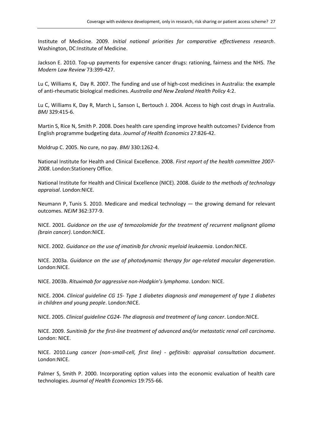Institute of Medicine. 2009. *Initial national priorities for comparative effectiveness research*. Washington, DC:Institute of Medicine.

Jackson E. 2010. Top-up payments for expensive cancer drugs: rationing, fairness and the NHS. *The Modern Law Review* 73:399-427.

Lu C, Williams K, Day R. 2007. The funding and use of high-cost medicines in Australia: the example of anti-rheumatic biological medicines. *Australia and New Zealand Health Policy* 4:2.

Lu C, Williams K, Day R, March L, Sanson L, Bertouch J. 2004. Access to high cost drugs in Australia. *BMJ* 329:415-6.

Martin S, Rice N, Smith P. 2008. Does health care spending improve health outcomes? Evidence from English programme budgeting data. *Journal of Health Economics* 27:826-42.

Moldrup C. 2005. No cure, no pay. *BMJ* 330:1262-4.

National Institute for Health and Clinical Excellence. 2008. *First report of the health committee 2007- 2008*. London:Stationery Office.

National Institute for Health and Clinical Excellence (NICE). 2008. *Guide to the methods of technology appraisal*. London:NICE.

Neumann P, Tunis S. 2010. Medicare and medical technology — the growing demand for relevant outcomes. *NEJM* 362:377-9.

NICE. 2001. *Guidance on the use of temozolomide for the treatment of recurrent malignant glioma (brain cancer)*. London:NICE.

NICE. 2002. *Guidance on the use of imatinib for chronic myeloid leukaemia*. London:NICE.

NICE. 2003a. *Guidance on the use of photodynamic therapy for age-related macular degeneration*. London:NICE.

NICE. 2003b. *Rituximab for aggressive non-Hodgkin's lymphoma*. London: NICE.

NICE. 2004. *Clinical guideline CG 15- Type 1 diabetes diagnosis and management of type 1 diabetes in children and young people*. London:NICE.

NICE. 2005. *Clinical guideline CG24- The diagnosis and treatment of lung cancer*. London:NICE.

NICE. 2009. *Sunitinib for the first-line treatment of advanced and/or metastatic renal cell carcinoma*. London: NICE.

NICE. 2010.*Lung cancer (non-small-cell, first line) - gefitinib: appraisal consultation document*. London:NICE.

Palmer S, Smith P. 2000. Incorporating option values into the economic evaluation of health care technologies. *Journal of Health Economics* 19:755-66.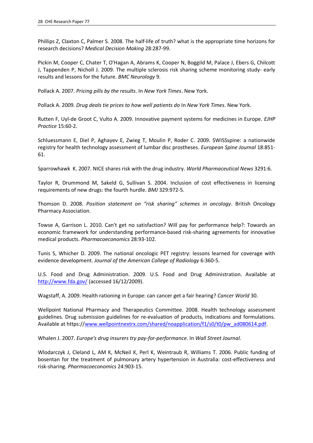Phillips Z, Claxton C, Palmer S. 2008. The half-life of truth? what is the appropriate time horizons for research decisions? *Medical Decision Making* 28:287-99.

Pickin M, Cooper C, Chater T, O'Hagan A, Abrams K, Cooper N, Boggild M, Palace J, Ebers G, Chilcott J, Tappenden P, Nicholl J. 2009. The multiple sclerosis risk sharing scheme monitoring study- early results and lessons for the future. *BMC Neurology* 9.

Pollack A. 2007. *Pricing pills by the results*. In *New York Times*. New York.

Pollack A. 2009. *Drug deals tie prices to how well patients do* In *New York Times*. New York.

Rutten F, Uyl-de Groot C, Vulto A. 2009. Innovative payment systems for medicines in Europe. *EJHP Practice* 15:60-2.

Schluessmann E, Diel P, Aghayev E, Zwieg T, Moulin P, Roder C. 2009. SWISSspine: a nationwide registry for health technology assessment of lumbar disc prostheses. *European Spine Journal* 18:851- 61.

Sparrowhawk K. 2007. NICE shares risk with the drug industry. *World Pharmaceutical News* 3291:6.

Taylor R, Drummond M, Sakeld G, Sullivan S. 2004. Inclusion of cost effectiveness in licensing requirements of new drugs: the fourth hurdle. *BMJ* 329:972-5.

Thomson D. 2008. *Position statement on "risk sharing" schemes in oncology*. British Oncology Pharmacy Association.

Towse A, Garrison L. 2010. Can't get no satisfaction? Will pay for performance help?: Towards an economic framework for understanding performance-based risk-sharing agreements for innovative medical products. *Pharmacoeconomics* 28:93-102.

Tunis S, Whicher D. 2009. The national oncologic PET registry: lessons learned for coverage with evidence development. *Journal of the American College of Radiology* 6:360-5.

U.S. Food and Drug Administration. 2009. U.S. Food and Drug Administration. Available at http://www.fda.gov/ (accessed 16/12/2009).

Wagstaff, A. 2009. Health rationing in Europe: can cancer get a fair hearing? *Cancer World* 30.

Wellpoint National Pharmacy and Therapeutics Committee. 2008. Health technology assessment guidelines. Drug submission guidelines for re-evaluation of products, indications and formulations. Available at https://www.wellpointnextrx.com/shared/noapplication/f1/s0/t0/pw\_ad080614.pdf.

Whalen J. 2007. *Europe's drug insurers try pay-for-performance*. In *Wall Street Journal*.

Wlodarczyk J, Cleland L, AM K, McNeil K, Perl K, Weintraub R, Williams T. 2006. Public funding of bosentan for the treatment of pulmonary artery hypertension in Australia: cost-effectiveness and risk-sharing. *Pharmacoeconomics* 24:903-15.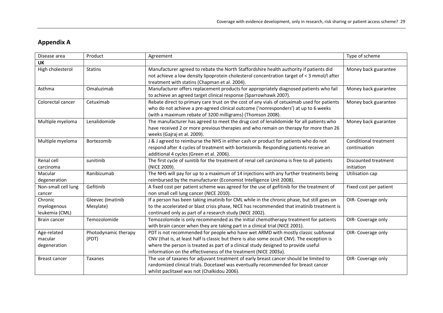## **Appendix A**

| Disease area                             | Product                        | Agreement                                                                                                                                                                                                                                                                                                                                 | Type of scheme                               |
|------------------------------------------|--------------------------------|-------------------------------------------------------------------------------------------------------------------------------------------------------------------------------------------------------------------------------------------------------------------------------------------------------------------------------------------|----------------------------------------------|
| <b>UK</b>                                |                                |                                                                                                                                                                                                                                                                                                                                           |                                              |
| High cholesterol                         | <b>Statins</b>                 | Manufacturer agreed to rebate the North Staffordshire health authority if patients did                                                                                                                                                                                                                                                    | Money back guarantee                         |
|                                          |                                | not achieve a low density lipoprotein cholesterol concentration target of < 3 mmol/l after<br>treatment with statins (Chapman et al. 2004).                                                                                                                                                                                               |                                              |
| Asthma                                   | Omaluzimab                     | Manufacturer offers replacement products for appropriately diagnosed patients who fail<br>to achieve an agreed target clinical response (Sparrowhawk 2007).                                                                                                                                                                               | Money back guarantee                         |
| Colorectal cancer                        | Cetuximab                      | Rebate direct to primary care trust on the cost of any vials of cetuximab used for patients<br>who do not achieve a pre-agreed clinical outcome ('nonresponders') at up to 6 weeks<br>(with a maximum rebate of 3200 milligrams) (Thomson 2008).                                                                                          | Money back guarantee                         |
| Multiple myeloma                         | Lenalidomide                   | The manufacturer has agreed to meet the drug cost of lenalidomide for all patients who<br>have received 2 or more previous therapies and who remain on therapy for more than 26<br>weeks (Gajraj et al. 2009).                                                                                                                            | Money back guarantee                         |
| Multiple myeloma                         | Bortezomib                     | J & J agreed to reimburse the NHS in either cash or product for patients who do not<br>respond after 4 cycles of treatment with bortezomib. Responding patients receive an<br>additional 4 cycles (Green et al. 2006).                                                                                                                    | <b>Conditional treatment</b><br>continuation |
| Renal cell<br>carcinoma                  | sunitinib                      | The first cycle of sunitib for the treatment of renal cell carcinoma is free to all patients<br>(NICE 2009).                                                                                                                                                                                                                              | Discounted treatment<br>initiation           |
| Macular<br>degeneration                  | Ranibizumab                    | The NHS will pay for up to a maximum of 14 injections with any further treatments being<br>reimbursed by the manufacturer (Economist Intelligence Unit 2008).                                                                                                                                                                             | <b>Utilisation cap</b>                       |
| Non-small cell lung<br>cancer            | Gefitinib                      | A fixed cost per patient scheme was agreed for the use of gefitinib for the treatment of<br>non small cell lung cancer (NICE 2010).                                                                                                                                                                                                       | Fixed cost per patient                       |
| Chronic<br>myelogenous<br>leukemia (CML) | Gleevec (Imatinib<br>Mesylate) | If a person has been taking imatinib for CML while in the chronic phase, but still goes on<br>to the accelerated or blast crisis phase, NICE has recommended that imatinib treatment is<br>continued only as part of a research study (NICE 2002).                                                                                        | OIR- Coverage only                           |
| Brain cancer                             | Temozolomide                   | Temozolomide is only recommended as the initial chemotherapy treatment for patients<br>with brain cancer when they are taking part in a clinical trial (NICE 2001).                                                                                                                                                                       | OIR- Coverage only                           |
| Age-related<br>macular<br>degeneration   | Photodynamic therapy<br>(PDT)  | PDT is not recommended for people who have wet ARMD with mostly classic subfoveal<br>CNV (that is, at least half is classic but there is also some occult CNV). The exception is<br>where the person is treated as part of a clinical study designed to provide useful<br>information on the effectiveness of the treatment (NICE 2003a). | OIR- Coverage only                           |
| Breast cancer                            | Taxanes                        | The use of taxanes for adjuvant treatment of early breast cancer should be limited to<br>randomized clinical trials. Docetaxel was eventually recommended for breast cancer<br>whilst paclitaxel was not (Chalkidou 2006).                                                                                                                | OIR- Coverage only                           |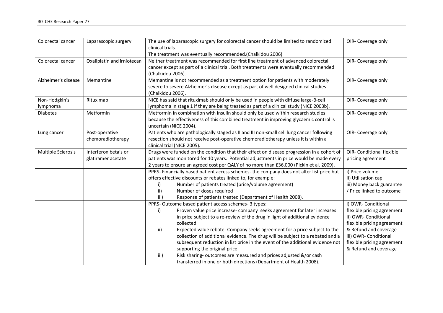| Colorectal cancer         | Laparascopic surgery                       | The use of laparascopic surgery for colorectal cancer should be limited to randomized<br>clinical trials.                                                                                                                                                                                                                                                                                                                                                                                                                                                                                                                                                                      | OIR- Coverage only                                                                                                                                                                                               |
|---------------------------|--------------------------------------------|--------------------------------------------------------------------------------------------------------------------------------------------------------------------------------------------------------------------------------------------------------------------------------------------------------------------------------------------------------------------------------------------------------------------------------------------------------------------------------------------------------------------------------------------------------------------------------------------------------------------------------------------------------------------------------|------------------------------------------------------------------------------------------------------------------------------------------------------------------------------------------------------------------|
|                           |                                            | The treatment was eventually recommended.(Chalkidou 2006)                                                                                                                                                                                                                                                                                                                                                                                                                                                                                                                                                                                                                      |                                                                                                                                                                                                                  |
| Colorectal cancer         | Oxaliplatin and irniotecan                 | Neither treatment was recommended for first line treatment of advanced colorectal<br>cancer except as part of a clinical trial. Both treatments were eventually recommended<br>(Chalkidou 2006).                                                                                                                                                                                                                                                                                                                                                                                                                                                                               | OIR- Coverage only                                                                                                                                                                                               |
| Alzheimer's disease       | Memantine                                  | Memantine is not recommended as a treatment option for patients with moderately<br>severe to severe Alzheimer's disease except as part of well designed clinical studies<br>(Chalkidou 2006).                                                                                                                                                                                                                                                                                                                                                                                                                                                                                  | OIR- Coverage only                                                                                                                                                                                               |
| Non-Hodgkin's<br>lymphoma | Rituximab                                  | NICE has said that rituximab should only be used in people with diffuse large-B-cell<br>lymphoma in stage 1 if they are being treated as part of a clinical study (NICE 2003b).                                                                                                                                                                                                                                                                                                                                                                                                                                                                                                | OIR- Coverage only                                                                                                                                                                                               |
| <b>Diabetes</b>           | Metformin                                  | Metformin in combination with insulin should only be used within research studies<br>because the effectiveness of this combined treatment in improving glycaemic control is<br>uncertain (NICE 2004).                                                                                                                                                                                                                                                                                                                                                                                                                                                                          | OIR- Coverage only                                                                                                                                                                                               |
| Lung cancer               | Post-operative<br>chemoradiotherapy        | Patients who are pathologically staged as II and III non-small cell lung cancer following<br>resection should not receive post-operative chemoradiotherapy unless it is within a<br>clinical trial (NICE 2005).                                                                                                                                                                                                                                                                                                                                                                                                                                                                | OIR- Coverage only                                                                                                                                                                                               |
| Multiple Sclerosis        | Interferon beta's or<br>glatiramer acetate | Drugs were funded on the condition that their effect on disease progression in a cohort of<br>patients was monitored for 10 years. Potential adjustments in price would be made every<br>2 years to ensure an agreed cost per QALY of no more than £36,000 (Pickin et al. 2009).                                                                                                                                                                                                                                                                                                                                                                                               | <b>OIR- Conditional flexible</b><br>pricing agreement                                                                                                                                                            |
|                           |                                            | PPRS- Financially based patient access schemes- the company does not alter list price but<br>offers effective discounts or rebates linked to, for example:<br>Number of patients treated (price/volume agreement)<br>i)<br>Number of doses required<br>ii)<br>Response of patients treated (Department of Health 2008).<br>iii)                                                                                                                                                                                                                                                                                                                                                | i) Price volume<br>ii) Utilisation cap<br>iii) Money back guarantee<br>/ Price linked to outcome                                                                                                                 |
|                           |                                            | PPRS- Outcome based patient access schemes- 3 types:<br>Proven value price increase- company seeks agreement for later increases<br>i)<br>in price subject to a re-review of the drug in light of additional evidence<br>collected<br>ii)<br>Expected value rebate- Company seeks agreement for a price subject to the<br>collection of additional evidence. The drug will be subject to a rebated and a<br>subsequent reduction in list price in the event of the additional evidence not<br>supporting the original price<br>Risk sharing- outcomes are measured and prices adjusted &/or cash<br>iii)<br>transferred in one or both directions (Department of Health 2008). | i) OWR- Conditional<br>flexible pricing agreement<br>ii) OWR- Conditional<br>flexible pricing agreement<br>& Refund and coverage<br>iii) OWR- Conditional<br>flexible pricing agreement<br>& Refund and coverage |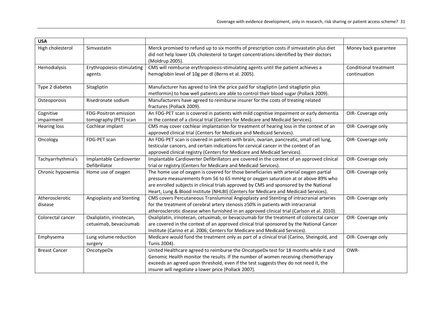| <b>USA</b>                 |                                                    |                                                                                                                                                                                                                                                                                                                                                              |                                       |
|----------------------------|----------------------------------------------------|--------------------------------------------------------------------------------------------------------------------------------------------------------------------------------------------------------------------------------------------------------------------------------------------------------------------------------------------------------------|---------------------------------------|
| High cholesterol           | Simvastatin                                        | Merck promised to refund up to six months of prescription costs if simvastatin plus diet<br>did not help lower LDL cholesterol to target concentrations identified by their doctors<br>(Moldrup 2005).                                                                                                                                                       | Money back guarantee                  |
| Hemodialysis               | Erythropoiesis-stimulating<br>agents               | CMS will reimburse erythropoiesis-stimulating agents until the patient achieves a<br>hemoglobin level of 10g per dl (Berns et al. 2005).                                                                                                                                                                                                                     | Conditional treatment<br>continuation |
| Type 2 diabetes            | Sitagliptin                                        | Manufacturer has agreed to link the price paid for sitagliptin (and sitagliptin plus<br>metformin) to how well patients are able to control their blood sugar (Pollack 2009).                                                                                                                                                                                |                                       |
| Osteoporosis               | Risedronate sodium                                 | Manufacturers have agreed to reimburse insurer for the costs of treating related<br>fractures (Pollack 2009).                                                                                                                                                                                                                                                |                                       |
| Cognitive<br>impairment    | FDG-Positron emission<br>tomography (PET) scan     | An FDG-PET scan is covered in patients with mild cognitive impairment or early dementia<br>in the context of a clinical trial (Centers for Medicare and Medicaid Services).                                                                                                                                                                                  | OIR- Coverage only                    |
| <b>Hearing loss</b>        | Cochlear implant                                   | CMS may cover cochlear implantation for treatment of hearing loss in the context of an<br>approved clinical trial (Centers for Medicare and Medicaid Services).                                                                                                                                                                                              | OIR- Coverage only                    |
| Oncology                   | FDG-PET scan                                       | An FDG-PET scan is covered in patients with brain, ovarian, pancreatic, small cell lung,<br>testicular cancers, and certain indications for cervical cancer in the context of an<br>approved clinical registry (Centers for Medicare and Medicaid Services).                                                                                                 | OIR- Coverage only                    |
| Tachyarrhythmia's          | Implantable Cardioverter<br>Defibrillator          | Implantable Cardioverter Defibrillators are covered in the context of an approved clinical<br>trial or registry (Centers for Medicare and Medicaid Services).                                                                                                                                                                                                | OIR- Coverage only                    |
| Chronic hypoxemia          | Home use of oxygen                                 | The home use of oxygen is covered for those beneficiaries with arterial oxygen partial<br>pressure measurements from 56 to 65 mmHg or oxygen saturation at or above 89% who<br>are enrolled subjects in clinical trials approved by CMS and sponsored by the National<br>Heart, Lung & Blood Institute (NHLBI) (Centers for Medicare and Medicaid Services). | OIR- Coverage only                    |
| Atherosclerotic<br>disease | Angioplasty and Stenting                           | CMS covers Percutaneous Transluminal Angioplasty and Stenting of intracranial arteries<br>for the treatment of cerebral artery stenosis ≥50% in patients with intracranial<br>atherosclerotic disease when furnished in an approved clinical trial (Carlson et al. 2010).                                                                                    | OIR- Coverage only                    |
| Colorectal cancer          | Oxaliplatin, irinotecan,<br>cetuximab, bevacizumab | Oxaliplatin, irinotecan, cetuximab, or bevacizumab for the treatment of colorectal cancer<br>are covered in the context of an approved clinical trial sponsored by the National Cancer<br>Institute (Carino et al. 2006; Centers for Medicare and Medicaid Services).                                                                                        | OIR- Coverage only                    |
| Emphysema                  | Lung volume reduction<br>surgery                   | Medicare would fund the treatment only as part of a clinical trial (Carino, Sheingold, and<br>Tunis 2004).                                                                                                                                                                                                                                                   | OIR- Coverage only                    |
| <b>Breast Cancer</b>       | OncotypeDx                                         | United Healthcare agreed to reimburse the OncotypeDx test for 18 months while it and<br>Genomic Health monitor the results. If the number of women receiving chemotherapy<br>exceeds an agreed upon threshold, even if the test suggests they do not need it, the<br>insurer will negotiate a lower price (Pollack 2007).                                    | OWR-                                  |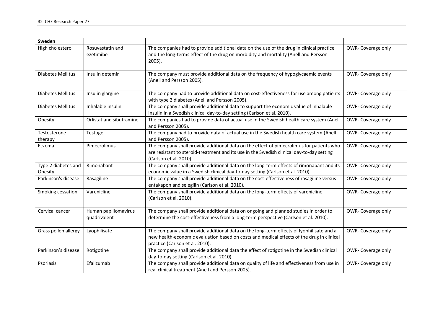| Sweden                         |                                      |                                                                                                                                                                                                                          |                    |
|--------------------------------|--------------------------------------|--------------------------------------------------------------------------------------------------------------------------------------------------------------------------------------------------------------------------|--------------------|
| High cholesterol               | Rosuvastatin and<br>ezetimibe        | The companies had to provide additional data on the use of the drug in clinical practice<br>and the long-terms effect of the drug on morbidity and mortality (Anell and Persson<br>$2005$ ).                             | OWR-Coverage only  |
| Diabetes Mellitus              | Insulin detemir                      | The company must provide additional data on the frequency of hypoglycaemic events<br>(Anell and Persson 2005).                                                                                                           | OWR-Coverage only  |
| Diabetes Mellitus              | Insulin glargine                     | The company had to provide additional data on cost-effectiveness for use among patients<br>with type 2 diabetes (Anell and Persson 2005).                                                                                | OWR- Coverage only |
| Diabetes Mellitus              | Inhalable insulin                    | The company shall provide additional data to support the economic value of inhalable<br>insulin in a Swedish clinical day-to-day setting (Carlson et al. 2010).                                                          | OWR-Coverage only  |
| Obesity                        | Orlistat and sibutramine             | The companies had to provide data of actual use in the Swedish health care system (Anell<br>and Persson 2005).                                                                                                           | OWR-Coverage only  |
| Testosterone<br>therapy        | Testogel                             | The company had to provide data of actual use in the Swedish health care system (Anell<br>and Persson 2005).                                                                                                             | OWR-Coverage only  |
| Eczema.                        | Pimecrolimus                         | The company shall provide additional data on the effect of pimecrolimus for patients who<br>are resistant to steroid-treatment and its use in the Swedish clinical day-to-day setting<br>(Carlson et al. 2010).          | OWR- Coverage only |
| Type 2 diabetes and<br>Obesity | Rimonabant                           | The company shall provide additional data on the long-term effects of rimonabant and its<br>economic value in a Swedish clinical day-to-day setting (Carlson et al. 2010).                                               | OWR- Coverage only |
| Parkinson's disease            | Rasagiline                           | The company shall provide additional data on the cost-effectiveness of rasagiline versus<br>entakapon and selegilin (Carlson et al. 2010).                                                                               | OWR- Coverage only |
| Smoking cessation              | Varenicline                          | The company shall provide additional data on the long-term effects of varenicline<br>(Carlson et al. 2010).                                                                                                              | OWR-Coverage only  |
| Cervical cancer                | Human papillomavirus<br>quadrivalent | The company shall provide additional data on ongoing and planned studies in order to<br>determine the cost-effectiveness from a long-term perspective (Carlson et al. 2010).                                             | OWR-Coverage only  |
| Grass pollen allergy           | Lyophilisate                         | The company shall provide additional data on the long-term effects of lyophilisate and a<br>new health-economic evaluation based on costs and medical effects of the drug in clinical<br>practice (Carlson et al. 2010). | OWR- Coverage only |
| Parkinson's disease            | Rotigotine                           | The company shall provide additional data the effect of rotigotine in the Swedish clinical<br>day-to-day setting (Carlson et al. 2010).                                                                                  | OWR-Coverage only  |
| Psoriasis                      | Efalizumab                           | The company shall provide additional data on quality of life and effectiveness from use in<br>real clinical treatment (Anell and Persson 2005).                                                                          | OWR- Coverage only |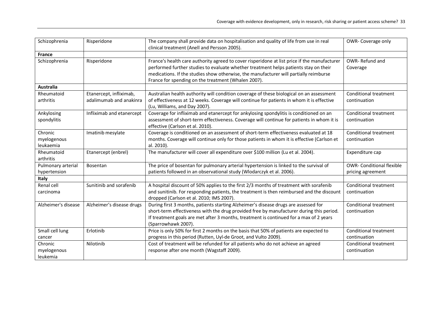| Schizophrenia                       | Risperidone                                        | The company shall provide data on hospitalisation and quality of life from use in real<br>clinical treatment (Anell and Persson 2005).                                                                                                                                                                                               | OWR-Coverage only                                     |
|-------------------------------------|----------------------------------------------------|--------------------------------------------------------------------------------------------------------------------------------------------------------------------------------------------------------------------------------------------------------------------------------------------------------------------------------------|-------------------------------------------------------|
| <b>France</b>                       |                                                    |                                                                                                                                                                                                                                                                                                                                      |                                                       |
| Schizophrenia                       | Risperidone                                        | France's health care authority agreed to cover risperidone at list price if the manufacturer<br>performed further studies to evaluate whether treatment helps patients stay on their<br>medications. If the studies show otherwise, the manufacturer will partially reimburse<br>France for spending on the treatment (Whalen 2007). | OWR-Refund and<br>Coverage                            |
| <b>Australia</b>                    |                                                    |                                                                                                                                                                                                                                                                                                                                      |                                                       |
| Rheumatoid<br>arthritis             | Etanercept, infliximab,<br>adalimumab and anakinra | Australian health authority will condition coverage of these biological on an assessment<br>of effectiveness at 12 weeks. Coverage will continue for patients in whom it is effective<br>(Lu, Williams, and Day 2007).                                                                                                               | Conditional treatment<br>continuation                 |
| Ankylosing<br>spondylitis           | Infliximab and etanercept                          | Coverage for infliximab and etanercept for ankylosing spondylitis is conditioned on an<br>assessment of short-term effectiveness. Coverage will continue for patients in whom it is<br>effective (Carlson et al. 2010).                                                                                                              | <b>Conditional treatment</b><br>continuation          |
| Chronic<br>myelogenous<br>leukaemia | Imatinib mesylate                                  | Coverage is conditioned on an assessment of short-term effectiveness evaluated at 18<br>months. Coverage will continue only for those patients in whom it is effective (Carlson et<br>al. 2010).                                                                                                                                     | <b>Conditional treatment</b><br>continuation          |
| Rheumatoid<br>arthritis             | Etanercept (enbrel)                                | The manufacturer will cover all expenditure over \$100 million (Lu et al. 2004).                                                                                                                                                                                                                                                     | Expenditure cap                                       |
| Pulmonary arterial<br>hypertension  | Bosentan                                           | The price of bosentan for pulmonary arterial hypertension is linked to the survival of<br>patients followed in an observational study (Wlodarczyk et al. 2006).                                                                                                                                                                      | <b>OWR- Conditional flexible</b><br>pricing agreement |
| Italy                               |                                                    |                                                                                                                                                                                                                                                                                                                                      |                                                       |
| Renal cell<br>carcinoma             | Sunitinib and sorafenib                            | A hospital discount of 50% applies to the first 2/3 months of treatment with sorafenib<br>and sunitinib. For responding patients, the treatment is then reimbursed and the discount<br>dropped (Carlson et al. 2010; IMS 2007).                                                                                                      | <b>Conditional treatment</b><br>continuation          |
| Alzheimer's disease                 | Alzheimer's disease drugs                          | During first 3 months, patients starting Alzheimer's disease drugs are assessed for<br>short-term effectiveness with the drug provided free by manufacturer during this period.<br>If treatment goals are met after 3 months, treatment is continued for a max of 2 years<br>(Sparrowhawk 2007).                                     | <b>Conditional treatment</b><br>continuation          |
| Small cell lung<br>cancer           | Erlotinib                                          | Price is only 50% for first 2 months on the basis that 50% of patients are expected to<br>progress in this period (Rutten, Uyl-de Groot, and Vulto 2009).                                                                                                                                                                            | <b>Conditional treatment</b><br>continuation          |
| Chronic<br>myelogenous<br>leukemia  | Nilotinib                                          | Cost of treatment will be refunded for all patients who do not achieve an agreed<br>response after one month (Wagstaff 2009).                                                                                                                                                                                                        | Conditional treatment<br>continuation                 |